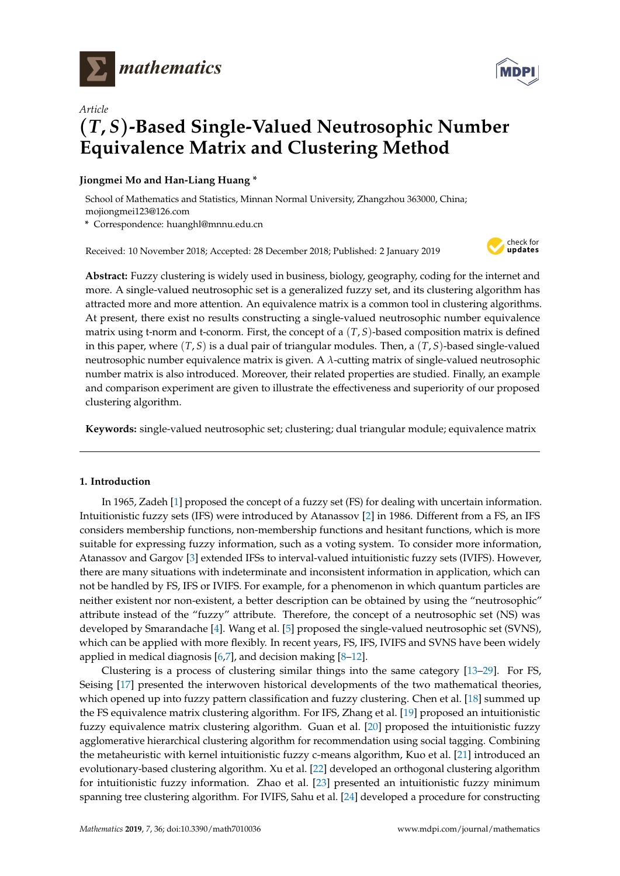

*Article*



# (*T***,** *S*)**-Based Single-Valued Neutrosophic Number Equivalence Matrix and Clustering Method**

# **Jiongmei Mo and Han-Liang Huang \***

School of Mathematics and Statistics, Minnan Normal University, Zhangzhou 363000, China; mojiongmei123@126.com

**\*** Correspondence: huanghl@mnnu.edu.cn

Received: 10 November 2018; Accepted: 28 December 2018; Published: 2 January 2019



**Abstract:** Fuzzy clustering is widely used in business, biology, geography, coding for the internet and more. A single-valued neutrosophic set is a generalized fuzzy set, and its clustering algorithm has attracted more and more attention. An equivalence matrix is a common tool in clustering algorithms. At present, there exist no results constructing a single-valued neutrosophic number equivalence matrix using t-norm and t-conorm. First, the concept of a (*T*, *S*)-based composition matrix is defined in this paper, where (*T*, *S*) is a dual pair of triangular modules. Then, a (*T*, *S*)-based single-valued neutrosophic number equivalence matrix is given. A *λ*-cutting matrix of single-valued neutrosophic number matrix is also introduced. Moreover, their related properties are studied. Finally, an example and comparison experiment are given to illustrate the effectiveness and superiority of our proposed clustering algorithm.

**Keywords:** single-valued neutrosophic set; clustering; dual triangular module; equivalence matrix

# **1. Introduction**

In 1965, Zadeh [\[1\]](#page-13-0) proposed the concept of a fuzzy set (FS) for dealing with uncertain information. Intuitionistic fuzzy sets (IFS) were introduced by Atanassov [\[2\]](#page-13-1) in 1986. Different from a FS, an IFS considers membership functions, non-membership functions and hesitant functions, which is more suitable for expressing fuzzy information, such as a voting system. To consider more information, Atanassov and Gargov [\[3\]](#page-13-2) extended IFSs to interval-valued intuitionistic fuzzy sets (IVIFS). However, there are many situations with indeterminate and inconsistent information in application, which can not be handled by FS, IFS or IVIFS. For example, for a phenomenon in which quantum particles are neither existent nor non-existent, a better description can be obtained by using the "neutrosophic" attribute instead of the "fuzzy" attribute. Therefore, the concept of a neutrosophic set (NS) was developed by Smarandache [\[4\]](#page-13-3). Wang et al. [\[5\]](#page-14-0) proposed the single-valued neutrosophic set (SVNS), which can be applied with more flexibly. In recent years, FS, IFS, IVIFS and SVNS have been widely applied in medical diagnosis  $[6,7]$  $[6,7]$ , and decision making  $[8-12]$  $[8-12]$ .

Clustering is a process of clustering similar things into the same category [\[13–](#page-14-5)[29\]](#page-14-6). For FS, Seising [\[17\]](#page-14-7) presented the interwoven historical developments of the two mathematical theories, which opened up into fuzzy pattern classification and fuzzy clustering. Chen et al. [\[18\]](#page-14-8) summed up the FS equivalence matrix clustering algorithm. For IFS, Zhang et al. [\[19\]](#page-14-9) proposed an intuitionistic fuzzy equivalence matrix clustering algorithm. Guan et al. [\[20\]](#page-14-10) proposed the intuitionistic fuzzy agglomerative hierarchical clustering algorithm for recommendation using social tagging. Combining the metaheuristic with kernel intuitionistic fuzzy c-means algorithm, Kuo et al. [\[21\]](#page-14-11) introduced an evolutionary-based clustering algorithm. Xu et al. [\[22\]](#page-14-12) developed an orthogonal clustering algorithm for intuitionistic fuzzy information. Zhao et al. [\[23\]](#page-14-13) presented an intuitionistic fuzzy minimum spanning tree clustering algorithm. For IVIFS, Sahu et al. [\[24\]](#page-14-14) developed a procedure for constructing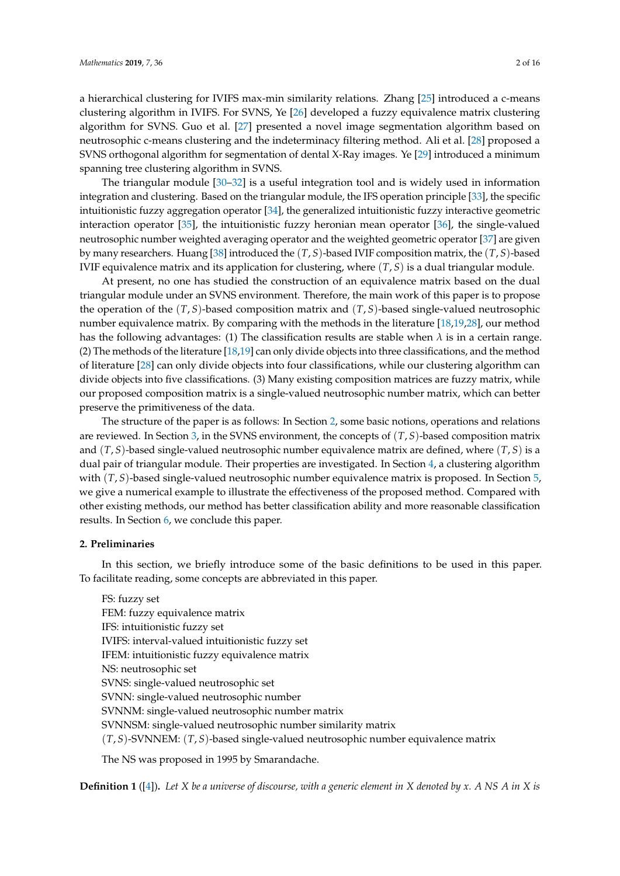clustering algorithm in IVIFS. For SVNS, Ye [\[26\]](#page-14-16) developed a fuzzy equivalence matrix clustering algorithm for SVNS. Guo et al. [\[27\]](#page-14-17) presented a novel image segmentation algorithm based on neutrosophic c-means clustering and the indeterminacy filtering method. Ali et al. [\[28\]](#page-14-18) proposed a SVNS orthogonal algorithm for segmentation of dental X-Ray images. Ye [\[29\]](#page-14-6) introduced a minimum spanning tree clustering algorithm in SVNS.

The triangular module [\[30–](#page-15-0)[32\]](#page-15-1) is a useful integration tool and is widely used in information integration and clustering. Based on the triangular module, the IFS operation principle [\[33\]](#page-15-2), the specific intuitionistic fuzzy aggregation operator [\[34\]](#page-15-3), the generalized intuitionistic fuzzy interactive geometric interaction operator [\[35\]](#page-15-4), the intuitionistic fuzzy heronian mean operator [\[36\]](#page-15-5), the single-valued neutrosophic number weighted averaging operator and the weighted geometric operator [\[37\]](#page-15-6) are given by many researchers. Huang [\[38\]](#page-15-7) introduced the (*T*, *S*)-based IVIF composition matrix, the (*T*, *S*)-based IVIF equivalence matrix and its application for clustering, where (*T*, *S*) is a dual triangular module.

At present, no one has studied the construction of an equivalence matrix based on the dual triangular module under an SVNS environment. Therefore, the main work of this paper is to propose the operation of the (*T*, *S*)-based composition matrix and (*T*, *S*)-based single-valued neutrosophic number equivalence matrix. By comparing with the methods in the literature [\[18,](#page-14-8)[19,](#page-14-9)[28\]](#page-14-18), our method has the following advantages: (1) The classification results are stable when  $\lambda$  is in a certain range. (2) The methods of the literature [\[18,](#page-14-8)[19\]](#page-14-9) can only divide objects into three classifications, and the method of literature [\[28\]](#page-14-18) can only divide objects into four classifications, while our clustering algorithm can divide objects into five classifications. (3) Many existing composition matrices are fuzzy matrix, while our proposed composition matrix is a single-valued neutrosophic number matrix, which can better preserve the primitiveness of the data.

The structure of the paper is as follows: In Section [2,](#page-1-0) some basic notions, operations and relations are reviewed. In Section [3,](#page-3-0) in the SVNS environment, the concepts of (*T*, *S*)-based composition matrix and (*T*, *S*)-based single-valued neutrosophic number equivalence matrix are defined, where (*T*, *S*) is a dual pair of triangular module. Their properties are investigated. In Section [4,](#page-9-0) a clustering algorithm with (*T*, *S*)-based single-valued neutrosophic number equivalence matrix is proposed. In Section [5,](#page-10-0) we give a numerical example to illustrate the effectiveness of the proposed method. Compared with other existing methods, our method has better classification ability and more reasonable classification results. In Section [6,](#page-13-4) we conclude this paper.

# <span id="page-1-0"></span>**2. Preliminaries**

In this section, we briefly introduce some of the basic definitions to be used in this paper. To facilitate reading, some concepts are abbreviated in this paper.

FS: fuzzy set FEM: fuzzy equivalence matrix IFS: intuitionistic fuzzy set IVIFS: interval-valued intuitionistic fuzzy set IFEM: intuitionistic fuzzy equivalence matrix NS: neutrosophic set SVNS: single-valued neutrosophic set SVNN: single-valued neutrosophic number SVNNM: single-valued neutrosophic number matrix SVNNSM: single-valued neutrosophic number similarity matrix (*T*, *S*)-SVNNEM: (*T*, *S*)-based single-valued neutrosophic number equivalence matrix

The NS was proposed in 1995 by Smarandache.

**Definition 1** ([\[4\]](#page-13-3))**.** *Let X be a universe of discourse, with a generic element in X denoted by x. A NS A in X is*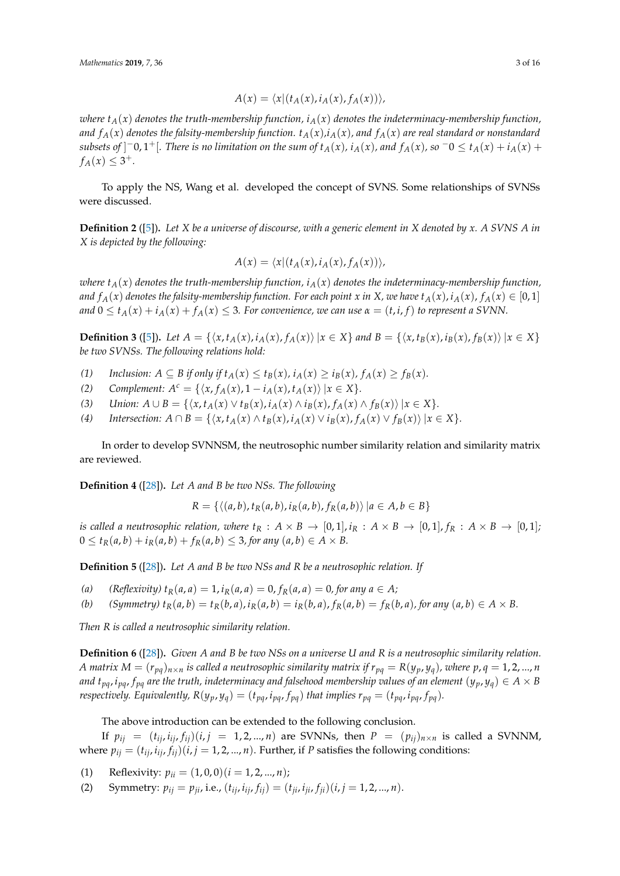$$
A(x) = \langle x | (t_A(x), i_A(x), f_A(x)) \rangle,
$$

*where*  $t_A(x)$  *denotes the truth-membership function,*  $i_A(x)$  *denotes the indeterminacy-membership function, and*  $f_A(x)$  *denotes the falsity-membership function.*  $t_A(x)$ , *i*<sub>A</sub>(*x*), *and*  $f_A(x)$  *are real standard or nonstandard* subsets of  $]$ <sup>-</sup>0,1<sup>+</sup>[. There is no limitation on the sum of  $t_A(x)$ ,  $i_A(x)$ , and  $f_A(x)$ , so  $^-0 \le t_A(x) + i_A(x) +$  $f_A(x) \leq 3^+$ .

To apply the NS, Wang et al. developed the concept of SVNS. Some relationships of SVNSs were discussed.

**Definition 2** ([\[5\]](#page-14-0))**.** *Let X be a universe of discourse, with a generic element in X denoted by x. A SVNS A in X is depicted by the following:*

$$
A(x) = \langle x | (t_A(x), i_A(x), f_A(x)) \rangle,
$$

*where*  $t_A(x)$  *denotes the truth-membership function,*  $i_A(x)$  *denotes the indeterminacy-membership function,* and  $f_A(x)$  denotes the falsity-membership function. For each point x in X, we have  $t_A(x)$ ,  $i_A(x)$ ,  $f_A(x) \in [0,1]$ *and*  $0 \le t_A(x) + i_A(x) + f_A(x) \le 3$ . For convenience, we can use  $\alpha = (t, i, f)$  to represent a SVNN.

**Definition 3** ([\[5\]](#page-14-0)). Let  $A = \{ \langle x, t_A(x), i_A(x), f_A(x) \rangle | x \in X \}$  and  $B = \{ \langle x, t_B(x), i_B(x), f_B(x) \rangle | x \in X \}$ *be two SVNSs. The following relations hold:*

- (1) *Inclusion:*  $A \subseteq B$  *if only if*  $t_A(x) \le t_B(x)$ *,*  $i_A(x) \ge i_B(x)$ *,*  $f_A(x) \ge f_B(x)$ *.*
- *(2) Complement:*  $A^c = \{ \langle x, f_A(x), 1 i_A(x), t_A(x) \rangle | x \in X \}.$
- (3) Union:  $A \cup B = \{ \langle x, t_A(x) \vee t_B(x), i_A(x) \wedge i_B(x), f_A(x) \wedge f_B(x) \rangle | x \in X \}.$
- (4) Intersection:  $A \cap B = \{ \langle x, t_A(x) \wedge t_B(x), i_A(x) \vee i_B(x), f_A(x) \vee f_B(x) \rangle \mid x \in X \}.$

In order to develop SVNNSM, the neutrosophic number similarity relation and similarity matrix are reviewed.

**Definition 4** ([\[28\]](#page-14-18))**.** *Let A and B be two NSs. The following*

$$
R = \{ \langle (a,b), t_R(a,b), i_R(a,b), f_R(a,b) \rangle \, | a \in A, b \in B \}
$$

*is called a neutrosophic relation, where*  $t_R$  :  $A \times B \rightarrow [0,1], i_R$  :  $A \times B \rightarrow [0,1], f_R$  :  $A \times B \rightarrow [0,1]$ ;  $0 \le t_R(a, b) + i_R(a, b) + f_R(a, b) \le 3$ , for any  $(a, b) \in A \times B$ .

**Definition 5** ([\[28\]](#page-14-18))**.** *Let A and B be two NSs and R be a neutrosophic relation. If*

*(a)*  $(Reflexivity) \, t_R(a, a) = 1, i_R(a, a) = 0, f_R(a, a) = 0, for any  $a \in A$ ;$ 

(b) *(Symmetry)* 
$$
t_R(a,b) = t_R(b,a), i_R(a,b) = i_R(b,a), f_R(a,b) = f_R(b,a),
$$
 for any  $(a,b) \in A \times B$ .

*Then R is called a neutrosophic similarity relation.*

**Definition 6** ([\[28\]](#page-14-18))**.** *Given A and B be two NSs on a universe U and R is a neutrosophic similarity relation.* A matrix  $M = (r_{pq})_{n \times n}$  is called a neutrosophic similarity matrix if  $r_{pq} = R(y_p, y_q)$ , where p, q = 1, 2, ..., n *and*  $t_{pa}$ ,  $i_{pa}$ ,  $f_{pa}$  are the truth, indeterminacy and falsehood membership values of an element  $(y_p, y_q) \in A \times B$ respectively. Equivalently,  $R(y_p, y_q) = (t_{pq}, i_{pq}, f_{pq})$  that implies  $r_{pq} = (t_{pq}, i_{pq}, f_{pq})$ .

The above introduction can be extended to the following conclusion.

If  $p_{ij} = (t_{ij}, i_{ij}, f_{ij})(i, j = 1, 2, ..., n)$  are SVNNs, then  $P = (p_{ij})_{n \times n}$  is called a SVNNM, where  $p_{ii} = (t_{ii}, i_{ii}, f_{ii})(i, j = 1, 2, ..., n)$ . Further, if *P* satisfies the following conditions:

(1) Reflexivity:  $p_{ii} = (1, 0, 0)(i = 1, 2, ..., n);$ 

(2) Symmetry:  $p_{ij} = p_{ij}$ , i.e.,  $(t_{ij}, i_{ij}, f_{ij}) = (t_{ij}, i_{ij}, f_{ij})(i, j = 1, 2, ..., n)$ .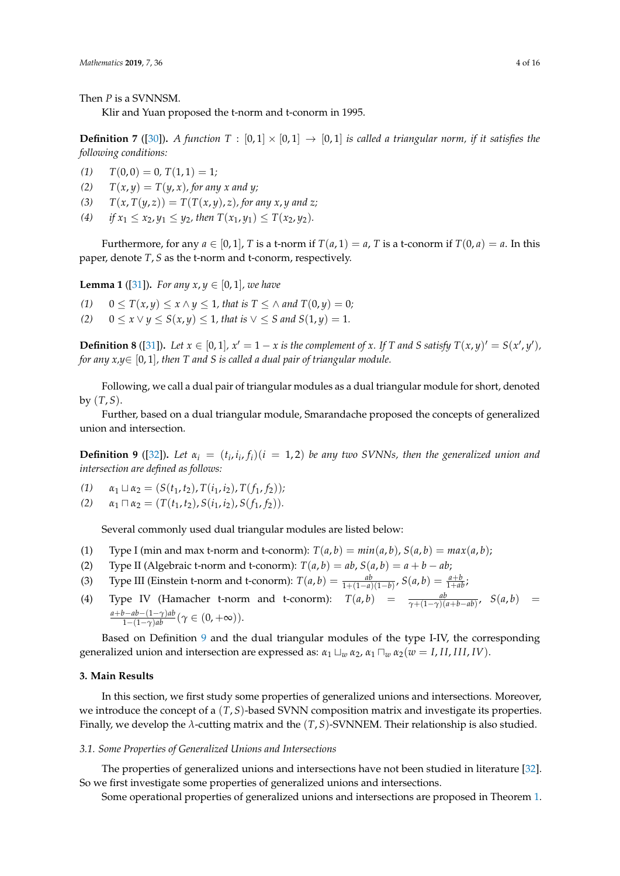Then *P* is a SVNNSM.

Klir and Yuan proposed the t-norm and t-conorm in 1995.

**Definition 7** ([\[30\]](#page-15-0)). *A function*  $T : [0,1] \times [0,1] \rightarrow [0,1]$  *is called a triangular norm, if it satisfies the following conditions:*

- $T(0,0) = 0, T(1,1) = 1;$
- (2)  $T(x, y) = T(y, x)$ , for any x and y;
- (3)  $T(x, T(y, z)) = T(T(x, y), z)$ , for any *x*, *y* and *z*;
- (4) *if*  $x_1 \le x_2, y_1 \le y_2$ , then  $T(x_1, y_1) \le T(x_2, y_2)$ .

Furthermore, for any  $a \in [0, 1]$ , *T* is a t-norm if  $T(a, 1) = a$ , *T* is a t-conorm if  $T(0, a) = a$ . In this paper, denote *T*, *S* as the t-norm and t-conorm, respectively.

<span id="page-3-2"></span>**Lemma 1** ([\[31\]](#page-15-8)). For any  $x, y \in [0, 1]$ , we have

- *(1)* 0 ≤ *T*(*x*, *y*) ≤ *x* ∧ *y* ≤ 1, *that is T* ≤ ∧ *and T*(0, *y*) = 0*;*
- *(2)*  $0 \le x \vee y \le S(x, y) \le 1$ , that is  $\vee \le S$  and  $S(1, y) = 1$ .

**Definition 8** ([\[31\]](#page-15-8)). Let  $x \in [0,1]$ ,  $x' = 1 - x$  is the complement of x. If T and S satisfy  $T(x,y)' = S(x',y')$ , *for any x,y*∈ [0, 1]*, then T and S is called a dual pair of triangular module.*

Following, we call a dual pair of triangular modules as a dual triangular module for short, denoted by  $(T, S)$ .

Further, based on a dual triangular module, Smarandache proposed the concepts of generalized union and intersection.

<span id="page-3-1"></span>**Definition 9** ([\[32\]](#page-15-1)). Let  $\alpha_i = (t_i, i_i, f_i)$  ( $i = 1, 2$ ) be any two SVNNs, then the generalized union and *intersection are defined as follows:*

- $\alpha_1 \sqcup \alpha_2 = (S(t_1, t_2), T(i_1, i_2), T(f_1, f_2));$
- $\alpha_1 \sqcap \alpha_2 = (T(t_1, t_2), S(i_1, i_2), S(f_1, f_2)).$

Several commonly used dual triangular modules are listed below:

- (1) Type I (min and max t-norm and t-conorm):  $T(a, b) = min(a, b)$ ,  $S(a, b) = max(a, b)$ ;
- (2) Type II (Algebraic t-norm and t-conorm):  $T(a, b) = ab$ ,  $S(a, b) = a + b ab$ ;
- (3) Type III (Einstein t-norm and t-conorm):  $T(a, b) = \frac{ab}{1+(1-a)(1-b)}, S(a, b) = \frac{a+b}{1+ab}$ ;
- (4) Type IV (Hamacher t-norm and t-conorm):  $T(a,b) = \frac{ab}{\gamma + (1-\gamma)(a+b-ab)}$ ,  $S(a,b) =$  $\frac{a+b-ab-(1-\gamma)ab}{1-(1-\gamma)ab}$  ( $\gamma \in (0,+\infty)$ ).

Based on Definition [9](#page-3-1) and the dual triangular modules of the type I-IV, the corresponding generalized union and intersection are expressed as:  $α_1 ⊥_w α_2$ ,  $α_1 ∩_w α_2(w = I, II, III, IV)$ .

# <span id="page-3-0"></span>**3. Main Results**

In this section, we first study some properties of generalized unions and intersections. Moreover, we introduce the concept of a (*T*, *S*)-based SVNN composition matrix and investigate its properties. Finally, we develop the *λ*-cutting matrix and the (*T*, *S*)-SVNNEM. Their relationship is also studied.

# *3.1. Some Properties of Generalized Unions and Intersections*

The properties of generalized unions and intersections have not been studied in literature [\[32\]](#page-15-1). So we first investigate some properties of generalized unions and intersections.

Some operational properties of generalized unions and intersections are proposed in Theorem [1.](#page-4-0)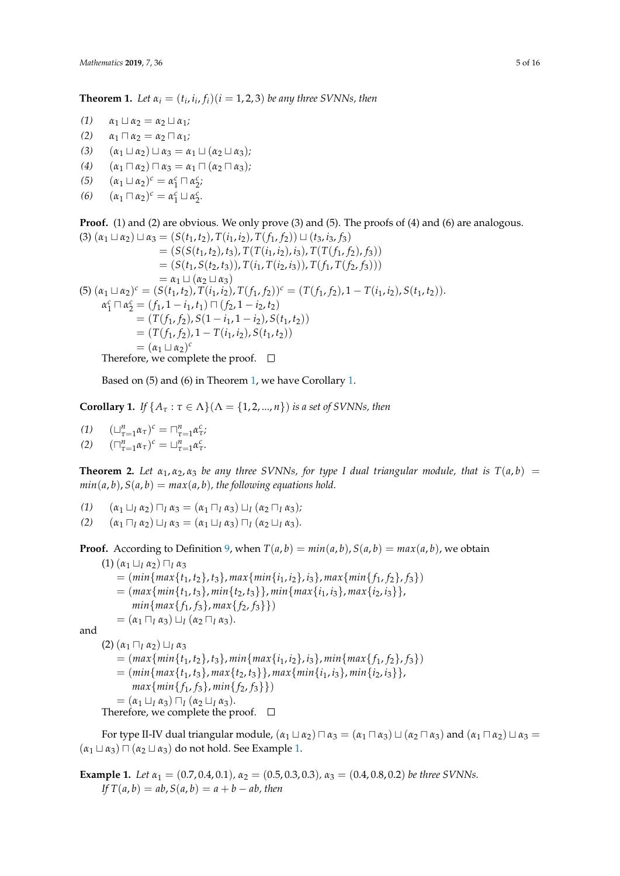<span id="page-4-0"></span>**Theorem 1.** Let  $\alpha_i = (t_i, i_i, f_i)$  ( $i = 1, 2, 3$ ) be any three SVNNs, then

- $\alpha_1 \sqcup \alpha_2 = \alpha_2 \sqcup \alpha_1;$
- $\alpha_1 \sqcap \alpha_2 = \alpha_2 \sqcap \alpha_1;$
- (3)  $(\alpha_1 \sqcup \alpha_2) \sqcup \alpha_3 = \alpha_1 \sqcup (\alpha_2 \sqcup \alpha_3);$
- $(4)$   $(\alpha_1 \sqcap \alpha_2) \sqcap \alpha_3 = \alpha_1 \sqcap (\alpha_2 \sqcap \alpha_3);$
- (5)  $(\alpha_1 \sqcup \alpha_2)^c = \alpha_1^c \sqcap \alpha_2^c$
- (6)  $(\alpha_1 \sqcap \alpha_2)^c = \alpha_1^c \sqcup \alpha_2^c.$

**Proof.** (1) and (2) are obvious. We only prove (3) and (5). The proofs of (4) and (6) are analogous.  $(3)$   $(\alpha_1 \sqcup \alpha_2) \sqcup \alpha_3 = (S(t_1, t_2), T(i_1, i_2), T(f_1, f_2)) \sqcup (t_3, i_3, f_3)$ 

$$
= (S(S(t_1, t_2), t_3), T(T(t_1, t_2), t_3), T(T(f_1, f_2), f_3))
$$
  
\n
$$
= (S(t_1, S(t_2, t_3)), T(t_1, T(t_2, t_3)), T(T(f_1, f_2), f_3))
$$
  
\n
$$
= \alpha_1 \sqcup (\alpha_2 \sqcup \alpha_3)
$$
  
\n(5)  $(\alpha_1 \sqcup \alpha_2)^c = (S(t_1, t_2), T(t_1, t_2), T(f_1, f_2))^c = (T(f_1, f_2), 1 - T(t_1, t_2), S(t_1, t_2)).$   
\n $\alpha_1^c \sqcap \alpha_2^c = (f_1, 1 - i_1, t_1) \sqcap (f_2, 1 - i_2, t_2)$   
\n
$$
= (T(f_1, f_2), S(1 - i_1, 1 - i_2), S(t_1, t_2))
$$
  
\n
$$
= (T(f_1, f_2), 1 - T(i_1, i_2), S(t_1, t_2))
$$
  
\n
$$
= (\alpha_1 \sqcup \alpha_2)^c
$$
  
\nTherefore,  $\Box$ 

Therefore, we complete the proof.  $\Box$ 

Based on (5) and (6) in Theorem [1,](#page-4-0) we have Corollary [1.](#page-4-1)

<span id="page-4-1"></span>**Corollary 1.** *If*  $\{A_\tau : \tau \in \Lambda\}(\Lambda = \{1, 2, ..., n\})$  *is a set of SVNNs, then* 

(1) 
$$
(\sqcup_{\tau=1}^{n} \alpha_{\tau})^{c} = \sqcap_{\tau=1}^{n} \alpha_{\tau}^{c};
$$
  
(2) 
$$
(\sqcap_{\tau=1}^{n} \alpha_{\tau})^{c} = \sqcup_{\tau=1}^{n} \alpha_{\tau}^{c}.
$$

**Theorem 2.** Let  $\alpha_1, \alpha_2, \alpha_3$  be any three SVNNs, for type I dual triangular module, that is  $T(a, b)$  =  $min(a, b)$ ,  $S(a, b) = max(a, b)$ , the following equations hold.

- *(1)*  $(\alpha_1 \sqcup_1 \alpha_2) \sqcap_1 \alpha_3 = (\alpha_1 \sqcap_1 \alpha_3) \sqcup_1 (\alpha_2 \sqcap_1 \alpha_3);$
- *(2)*  $(\alpha_1 \sqcap_1 \alpha_2) \sqcup_1 \alpha_3 = (\alpha_1 \sqcup_1 \alpha_3) \sqcap_1 (\alpha_2 \sqcup_1 \alpha_3).$

**Proof.** According to Definition [9,](#page-3-1) when  $T(a, b) = min(a, b)$ ,  $S(a, b) = max(a, b)$ , we obtain

 $(1)$   $(\alpha_1 \sqcup_I \alpha_2)$   $\sqcap_I \alpha_3$  $=$   $(min{max{t_1, t_2}, t_3}, max{min{i_1, i_2}, i_3}, max{min{f_1, f_2}, f_3})$  $=$   $\{max\{min\{t_1, t_3\}, min\{t_2, t_3\}\}, min\{max\{i_1, i_3\}, max\{i_2, i_3\}\},$  $min\{max\{f_1, f_3\}, max\{f_2, f_3\}\})$  $= (\alpha_1 \sqcap_I \alpha_3) \sqcup_I (\alpha_2 \sqcap_I \alpha_3).$ 

and

 $(2)$   $(\alpha_1 \sqcap_I \alpha_2)$   $\sqcup_I \alpha_3$  $=$   $(max{min{t_1, t_2}, t_3}, min{max{i_1, i_2}, i_3}, min{max{f_1, f_2}, f_3})$  $=$   $(min{max{t_1, t_3}, max{t_2, t_3}, max{min{i_1, i_3}, min{i_2, i_3}}$  $max{min{f_1, f_3}, min{f_2, f_3}})$  $= (\alpha_1 \sqcup_I \alpha_3) \sqcap_I (\alpha_2 \sqcup_I \alpha_3).$ Therefore, we complete the proof.  $\square$ 

For type II-IV dual triangular module,  $(\alpha_1 \sqcup \alpha_2) \sqcap \alpha_3 = (\alpha_1 \sqcap \alpha_3) \sqcup (\alpha_2 \sqcap \alpha_3)$  and  $(\alpha_1 \sqcap \alpha_2) \sqcup \alpha_3 =$  $(\alpha_1 \sqcup \alpha_3) \sqcap (\alpha_2 \sqcup \alpha_3)$  do not hold. See Example [1.](#page-4-2)

<span id="page-4-2"></span>**Example 1.** *Let*  $\alpha_1 = (0.7, 0.4, 0.1)$ ,  $\alpha_2 = (0.5, 0.3, 0.3)$ ,  $\alpha_3 = (0.4, 0.8, 0.2)$  *be three SVNNs.*  $If T(a, b) = ab, S(a, b) = a + b - ab,$  then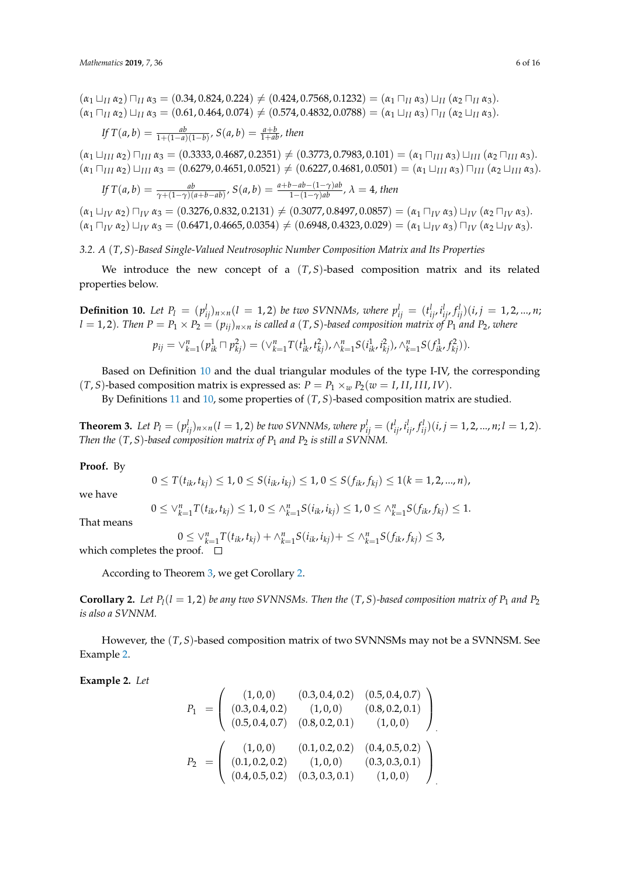$(\alpha_1 \sqcup_{II} \alpha_2) \sqcap_{II} \alpha_3 = (0.34, 0.824, 0.224) \neq (0.424, 0.7568, 0.1232) = (\alpha_1 \sqcap_{II} \alpha_3) \sqcup_{II} (\alpha_2 \sqcap_{II} \alpha_3).$  $(\alpha_1 \cap_{I} \alpha_2) \cup_{I} \alpha_3 = (0.61, 0.464, 0.074) \neq (0.574, 0.4832, 0.0788) = (\alpha_1 \cup_{I} \alpha_3) \cap_{I} (\alpha_2 \cup_{I} \alpha_3).$ 

If 
$$
T(a, b) = \frac{ab}{1 + (1 - a)(1 - b)}
$$
,  $S(a, b) = \frac{a + b}{1 + ab}$ , then

 $(\alpha_1 \sqcup_{III} \alpha_2) \sqcap_{III} \alpha_3 = (0.3333, 0.4687, 0.2351) \neq (0.3773, 0.7983, 0.101) = (\alpha_1 \sqcap_{III} \alpha_3) \sqcup_{III} (\alpha_2 \sqcap_{III} \alpha_3).$  $(\alpha_1 \Box_{III} \alpha_2) \Box_{III} \alpha_3 = (0.6279, 0.4651, 0.0521) \neq (0.6227, 0.4681, 0.0501) = (\alpha_1 \Box_{III} \alpha_3) \Box_{III} (\alpha_2 \Box_{III} \alpha_3).$ 

If 
$$
T(a, b) = \frac{ab}{\gamma + (1 - \gamma)(a + b - ab)}
$$
,  $S(a, b) = \frac{a + b - ab - (1 - \gamma)ab}{1 - (1 - \gamma)ab}$ ,  $\lambda = 4$ , then

 $(\alpha_1 \sqcup_{IV} \alpha_2) \sqcap_{IV} \alpha_3 = (0.3276, 0.832, 0.2131) \neq (0.3077, 0.8497, 0.0857) = (\alpha_1 \sqcap_{IV} \alpha_3) \sqcup_{IV} (\alpha_2 \sqcap_{IV} \alpha_3).$  $(\alpha_1 \Box_{IV} \alpha_2) \Box_{IV} \alpha_3 = (0.6471, 0.4665, 0.0354) \neq (0.6948, 0.4323, 0.029) = (\alpha_1 \Box_{IV} \alpha_3) \Box_{IV} (\alpha_2 \Box_{IV} \alpha_3).$ 

*3.2. A* (*T*, *S*)*-Based Single-Valued Neutrosophic Number Composition Matrix and Its Properties*

We introduce the new concept of a  $(T, S)$ -based composition matrix and its related properties below.

<span id="page-5-0"></span>**Definition 10.** Let  $P_l = (p_{ij}^l)_{n \times n}$   $(l = 1, 2)$  be two SVNNMs, where  $p_{ij}^l = (t_{ij}^l, i_{ij}^l, f_{ij}^l)(i, j = 1, 2, ..., n;$  $l = 1, 2$ ). Then  $P = P_1 \times P_2 = (p_{ij})_{n \times n}$  is called a  $(T, S)$ -based composition matrix of  $P_1$  and  $P_2$ , where

$$
p_{ij} = \vee_{k=1}^{n} (p_{ik}^{1} \sqcap p_{kj}^{2}) = (\vee_{k=1}^{n} T(t_{ik}^{1}, t_{kj}^{2}), \wedge_{k=1}^{n} S(t_{ik}^{1}, t_{kj}^{2}), \wedge_{k=1}^{n} S(t_{ik}^{1}, t_{kj}^{2})).
$$

Based on Definition [10](#page-5-0) and the dual triangular modules of the type I-IV, the corresponding (*T*, *S*)-based composition matrix is expressed as:  $P = P_1 \times_w P_2(w = I, II, III, IV)$ .

By Definitions [11](#page-6-0) and [10,](#page-5-0) some properties of (*T*, *S*)-based composition matrix are studied.

<span id="page-5-1"></span>**Theorem 3.** Let  $P_l = (p_{ij}^l)_{n \times n} (l = 1, 2)$  be two SVNNMs, where  $p_{ij}^l = (t_{ij}^l, i_{ij}^l, f_{ij}^l)(i, j = 1, 2, ..., n; l = 1, 2)$ . *Then the*  $(T, S)$ *-based composition matrix of*  $P_1$  *and*  $P_2$  *is still a SVNNM.* 

## **Proof.** By

$$
0 \leq T(t_{ik}, t_{kj}) \leq 1, 0 \leq S(t_{ik}, t_{kj}) \leq 1, 0 \leq S(f_{ik}, f_{kj}) \leq 1(k = 1, 2, ..., n),
$$

we have

$$
\leq \vee_{k=1}^{n} T(t_{ik}, t_{kj}) \leq 1, 0 \leq \wedge_{k=1}^{n} S(i_{ik}, i_{kj}) \leq 1, 0 \leq \wedge_{k=1}^{n} S(f_{ik}, f_{kj}) \leq 1.
$$

That means

$$
0 \leq \bigvee_{k=1}^{n} T(t_{ik}, t_{kj}) + \bigwedge_{k=1}^{n} S(i_{ik}, t_{kj}) + \leq \bigwedge_{k=1}^{n} S(f_{ik}, f_{kj}) \leq 3,
$$

which completes the proof.  $\Box$ 

0 ≤ ∨*<sup>n</sup>*

According to Theorem [3,](#page-5-1) we get Corollary [2.](#page-5-2)

<span id="page-5-2"></span>**Corollary 2.** Let  $P_l(l = 1, 2)$  be any two SVNNSMs. Then the  $(T, S)$ -based composition matrix of  $P_1$  and  $P_2$ *is also a SVNNM.*

However, the (*T*, *S*)-based composition matrix of two SVNNSMs may not be a SVNNSM. See Example [2.](#page-5-3)

<span id="page-5-3"></span>**Example 2.** *Let*

$$
P_1 = \begin{pmatrix} (1,0,0) & (0.3,0.4,0.2) & (0.5,0.4,0.7) \\ (0.3,0.4,0.2) & (1,0,0) & (0.8,0.2,0.1) \\ (0.5,0.4,0.7) & (0.8,0.2,0.1) & (1,0,0) \end{pmatrix}
$$

$$
P_2 = \begin{pmatrix} (1,0,0) & (0.1,0.2,0.2) & (0.4,0.5,0.2) \\ (0.1,0.2,0.2) & (1,0,0) & (0.3,0.3,0.1) \\ (0.4,0.5,0.2) & (0.3,0.3,0.1) & (1,0,0) \end{pmatrix}
$$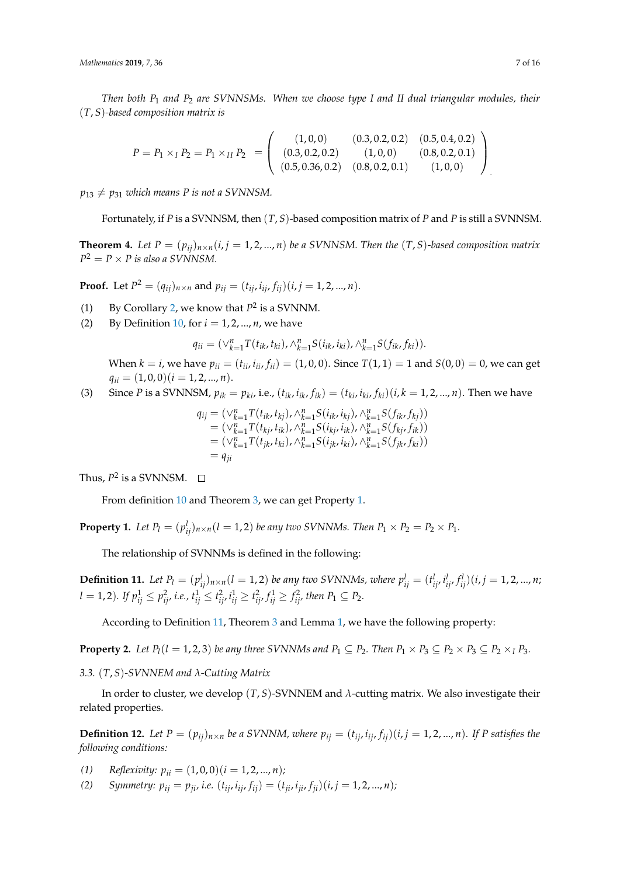*Then both P*<sup>1</sup> *and P*<sup>2</sup> *are SVNNSMs. When we choose type I and II dual triangular modules, their* (*T*, *S*)*-based composition matrix is*

$$
P = P_1 \times_I P_2 = P_1 \times_{II} P_2 = \begin{pmatrix} (1,0,0) & (0.3,0.2,0.2) & (0.5,0.4,0.2) \\ (0.3,0.2,0.2) & (1,0,0) & (0.8,0.2,0.1) \\ (0.5,0.36,0.2) & (0.8,0.2,0.1) & (1,0,0) \end{pmatrix}
$$

 $p_{13} \neq p_{31}$  *which means P is not a SVNNSM.* 

Fortunately, if *P* is a SVNNSM, then (*T*, *S*)-based composition matrix of *P* and *P* is still a SVNNSM.

**Theorem 4.** Let  $P = (p_{ij})_{n \times n}$   $(i, j = 1, 2, ..., n)$  be a SVNNSM. Then the  $(T, S)$ -based composition matrix  $P^2 = P \times P$  is also a SVNNSM.

**Proof.** Let  $P^2 = (q_{ij})_{n \times n}$  and  $p_{ij} = (t_{ij}, i_{ij}, f_{ij})(i, j = 1, 2, ..., n)$ .

- (1) By Corollary [2,](#page-5-2) we know that  $P^2$  is a SVNNM.
- (2) By Definition [10,](#page-5-0) for  $i = 1, 2, ..., n$ , we have

$$
q_{ii} = (\vee_{k=1}^{n} T(t_{ik}, t_{ki}), \wedge_{k=1}^{n} S(t_{ik}, i_{ki}), \wedge_{k=1}^{n} S(f_{ik}, f_{ki})).
$$

When  $k = i$ , we have  $p_{ii} = (t_{ii}, i_{ii}, f_{ii}) = (1, 0, 0)$ . Since  $T(1, 1) = 1$  and  $S(0, 0) = 0$ , we can get  $q_{ii} = (1, 0, 0)$  $(i = 1, 2, ..., n)$ .

(3) Since *P* is a SVMNSM, 
$$
p_{ik} = p_{ki}
$$
, i.e.,  $(t_{ik}, i_{ik}, f_{ik}) = (t_{ki}, i_{ki}, f_{ki})(i, k = 1, 2, ..., n)$ . Then we have

$$
q_{ij} = (\vee_{k=1}^{n} T(t_{ik}, t_{kj}), \wedge_{k=1}^{n} S(i_{ik}, i_{kj}), \wedge_{k=1}^{n} S(f_{ik}, f_{kj}))
$$
  
\n
$$
= (\vee_{k=1}^{n} T(t_{kj}, t_{ik}), \wedge_{k=1}^{n} S(i_{kj}, i_{ik}), \wedge_{k=1}^{n} S(f_{kj}, f_{ik}))
$$
  
\n
$$
= (\vee_{k=1}^{n} T(t_{jk}, t_{ki}), \wedge_{k=1}^{n} S(i_{jk}, i_{ki}), \wedge_{k=1}^{n} S(f_{jk}, f_{ki}))
$$
  
\n
$$
= q_{ji}
$$

Thus,  $P^2$  is a SVNNSM.

From definition [10](#page-5-0) and Theorem [3,](#page-5-1) we can get Property [1.](#page-6-1)

<span id="page-6-1"></span>**Property 1.** Let  $P_l = (p_{ij}^l)_{n \times n}$   $(l = 1, 2)$  be any two SVNNMs. Then  $P_1 \times P_2 = P_2 \times P_1$ .

The relationship of SVNNMs is defined in the following:

<span id="page-6-0"></span>**Definition 11.** Let  $P_l = (p_{ij}^l)_{n \times n}$   $(l = 1, 2)$  be any two SVNNMs, where  $p_{ij}^l = (t_{ij}^l, i_{ij}^l, f_{ij}^l)(i, j = 1, 2, ..., n)$  $l = 1,2$ ). If  $p_{ij}^1 \leq p_{ij'}^2$  i.e.,  $t_{ij}^1 \leq t_{ij'}^2$ ,  $i_{ij}^1 \geq t_{ij'}^2$ ,  $f_{ij}^1 \geq f_{ij'}^2$ , then  $P_1 \subseteq P_2$ .

According to Definition [11,](#page-6-0) Theorem [3](#page-5-1) and Lemma [1,](#page-3-2) we have the following property:

**Property 2.** Let  $P_l(l = 1, 2, 3)$  be any three SVNNMs and  $P_1 \subseteq P_2$ . Then  $P_1 \times P_3 \subseteq P_2 \times P_3 \subseteq P_2 \times_I P_3$ .

*3.3.* (*T*, *S*)*-SVNNEM and λ-Cutting Matrix*

In order to cluster, we develop (*T*, *S*)-SVNNEM and *λ*-cutting matrix. We also investigate their related properties.

**Definition 12.** Let  $P = (p_{ii})_{n \times n}$  be a SVNNM, where  $p_{ii} = (t_{ii}, i_{ii}, f_{ii})(i, j = 1, 2, ..., n)$ . If P satisfies the *following conditions:*

(1) *Reflexivity:*  $p_{ij} = (1,0,0)(i = 1,2,...,n);$ 

(2) Symmetry:  $p_{ij} = p_{ji}$ , i.e.  $(t_{ij}, i_{ij}, f_{ij}) = (t_{ji}, i_{ji}, f_{ji})(i, j = 1, 2, ..., n)$ ;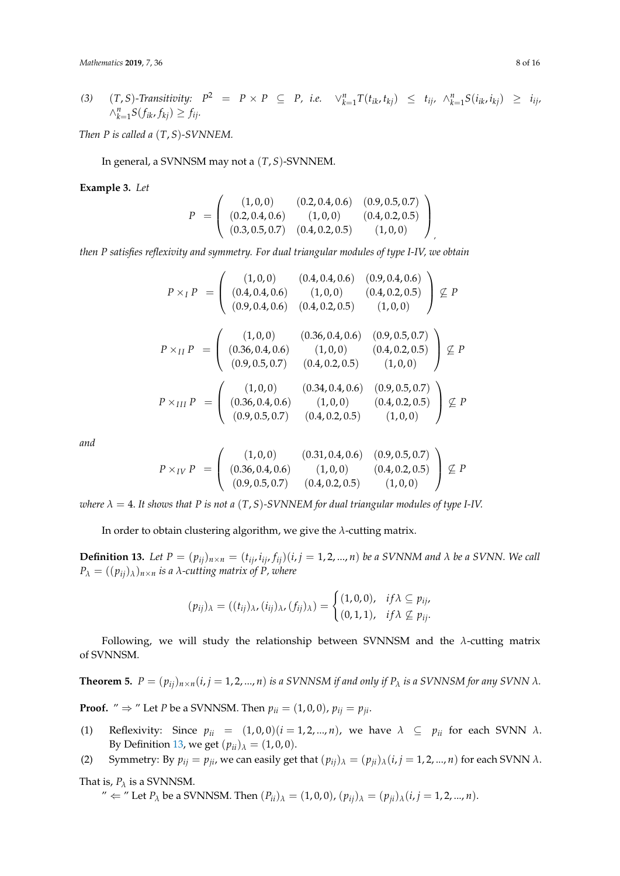(3) 
$$
(T, S)
$$
-Transitivity:  $P^2 = P \times P \subseteq P$ , i.e.  $\vee_{k=1}^n T(t_{ik}, t_{kj}) \leq t_{ij}, \wedge_{k=1}^n S(t_{ik}, i_{kj}) \geq i_{ij},$   
 $\wedge_{k=1}^n S(f_{ik}, f_{kj}) \geq f_{ij}.$ 

*Then P is called a* (*T*, *S*)*-SVNNEM.*

In general, a SVNNSM may not a (*T*, *S*)-SVNNEM.

**Example 3.** *Let*

$$
P = \left( \begin{array}{ccc} (1,0,0) & (0.2,0.4,0.6) & (0.9,0.5,0.7) \\ (0.2,0.4,0.6) & (1,0,0) & (0.4,0.2,0.5) \\ (0.3,0.5,0.7) & (0.4,0.2,0.5) & (1,0,0) \end{array} \right)
$$

*then P satisfies reflexivity and symmetry. For dual triangular modules of type I-IV, we obtain*

$$
P \times_I P = \begin{pmatrix} (1,0,0) & (0.4,0.4,0.6) & (0.9,0.4,0.6) \\ (0.4,0.4,0.6) & (1,0,0) & (0.4,0.2,0.5) \\ (0.9,0.4,0.6) & (0.4,0.2,0.5) & (1,0,0) \end{pmatrix} \nsubseteq P
$$
  
\n
$$
P \times_{II} P = \begin{pmatrix} (1,0,0) & (0.36,0.4,0.6) & (0.9,0.5,0.7) \\ (0.36,0.4,0.6) & (1,0,0) & (0.4,0.2,0.5) \\ (0.9,0.5,0.7) & (0.4,0.2,0.5) & (1,0,0) \end{pmatrix} \nsubseteq P
$$
  
\n
$$
P \times_{III} P = \begin{pmatrix} (1,0,0) & (0.34,0.4,0.6) & (0.9,0.5,0.7) \\ (0.36,0.4,0.6) & (1,0,0) & (0.4,0.2,0.5) \\ (0.9,0.5,0.7) & (0.4,0.2,0.5) & (1,0,0) \end{pmatrix} \nsubseteq P
$$

*and*

$$
P \times_{IV} P = \left( \begin{array}{ccc} (1,0,0) & (0.31,0.4,0.6) & (0.9,0.5,0.7) \\ (0.36,0.4,0.6) & (1,0,0) & (0.4,0.2,0.5) \\ (0.9,0.5,0.7) & (0.4,0.2,0.5) & (1,0,0) \end{array} \right) \not\subseteq P
$$

*where*  $\lambda = 4$ . It shows that P is not a  $(T, S)$ -SVNNEM for dual triangular modules of type I-IV.

In order to obtain clustering algorithm, we give the *λ*-cutting matrix.

<span id="page-7-0"></span>**Definition 13.** Let  $P = (p_{ij})_{n \times n} = (t_{ij}, i_{ij}, f_{ij})(i, j = 1, 2, ..., n)$  be a SVNNM and  $\lambda$  be a SVNN. We call  $P_{\lambda} = ((p_{ij})_{\lambda})_{n \times n}$  *is a λ-cutting matrix of P, where* 

$$
(p_{ij})_{\lambda} = ((t_{ij})_{\lambda}, (i_{ij})_{\lambda}, (f_{ij})_{\lambda}) = \begin{cases} (1,0,0), & if \lambda \subseteq p_{ij}, \\ (0,1,1), & if \lambda \not\subseteq p_{ij}. \end{cases}
$$

Following, we will study the relationship between SVNNSM and the *λ*-cutting matrix of SVNNSM.

<span id="page-7-1"></span>**Theorem 5.**  $P = (p_{ij})_{n \times n}$  ( $i, j = 1, 2, ..., n$ ) is a SVNNSM if and only if  $P_{\lambda}$  is a SVNNSM for any SVNN  $\lambda$ *.* 

**Proof.** "  $\Rightarrow$  " Let *P* be a SVNNSM. Then  $p_{ii} = (1, 0, 0)$ ,  $p_{ij} = p_{ji}$ .

- (1) Reflexivity: Since  $p_{ii} = (1, 0, 0)(i = 1, 2, ..., n)$ , we have  $\lambda \subseteq p_{ii}$  for each SVNN  $\lambda$ . By Definition [13,](#page-7-0) we get  $(p_{ii})_\lambda = (1, 0, 0)$ .
- (2) Symmetry: By  $p_{ij} = p_{ji}$ , we can easily get that  $(p_{ij})_\lambda = (p_{ji})_\lambda (i, j = 1, 2, ..., n)$  for each SVNN  $\lambda$ .

That is,  $P_\lambda$  is a SVNNSM.

 $'' \leftarrow$  " Let  $P_{\lambda}$  be a SVNNSM. Then  $(P_{ii})_{\lambda} = (1, 0, 0)$ ,  $(p_{ii})_{\lambda} = (p_{ii})_{\lambda} (i, j = 1, 2, ..., n)$ .

,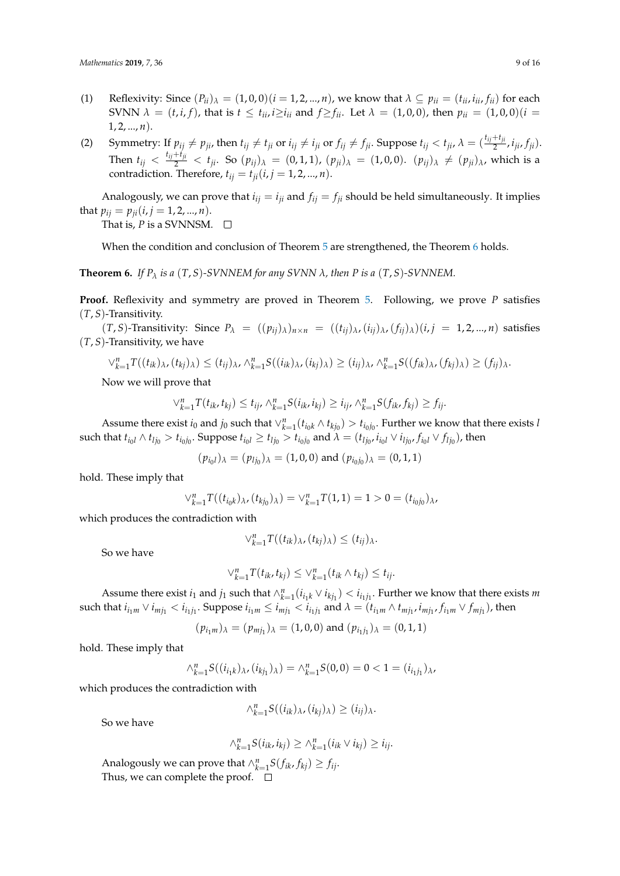- (1) Reflexivity: Since  $(P_{ii})_\lambda = (1, 0, 0)$   $(i = 1, 2, ..., n)$ , we know that  $\lambda \subseteq p_{ii} = (t_{ii}, t_{ii}, f_{ii})$  for each SVNN  $\lambda = (t, i, f)$ , that is  $t \le t_{ii}$ ,  $i \ge i_{ii}$  and  $f \ge f_{ii}$ . Let  $\lambda = (1, 0, 0)$ , then  $p_{ii} = (1, 0, 0)(i = 0)$  $1, 2, ..., n$ .
- (2) Symmetry: If  $p_{ij} \neq p_{ji}$ , then  $t_{ij} \neq t_{ji}$  or  $i_{ij} \neq i_{ji}$  or  $f_{ij} \neq f_{ji}$ . Suppose  $t_{ij} < t_{ji}$ ,  $\lambda = (\frac{t_{ij} + t_{ji}}{2}, i_{ji}, f_{ji})$ . Then  $t_{ij} < \frac{t_{ij} + t_{ji}}{2} < t_{ji}$ . So  $(p_{ij})_{\lambda} = (0, 1, 1)$ ,  $(p_{ji})_{\lambda} = (1, 0, 0)$ .  $(p_{ij})_{\lambda} \neq (p_{ji})_{\lambda}$ , which is a contradiction. Therefore,  $t_{ij} = t_{ji}$  (*i*, *j* = 1, 2, ..., *n*).

Analogously, we can prove that  $i_{ij} = i_{ji}$  and  $f_{ij} = f_{ji}$  should be held simultaneously. It implies that  $p_{ij} = p_{ji}$  (*i*, *j* = 1, 2, ..., *n*). That is,  $P$  is a SVNNSM.  $\Box$ 

When the condition and conclusion of Theorem [5](#page-7-1) are strengthened, the Theorem [6](#page-8-0) holds.

<span id="page-8-0"></span>**Theorem 6.** If  $P_\lambda$  is a  $(T, S)$ -SVNNEM for any SVNN  $\lambda$ , then P is a  $(T, S)$ -SVNNEM.

**Proof.** Reflexivity and symmetry are proved in Theorem [5.](#page-7-1) Following, we prove *P* satisfies (*T*, *S*)-Transitivity.

 $(T, S)$ -Transitivity: Since  $P_{\lambda} = ((p_{ii})_{\lambda})_{n \times n} = ((t_{ii})_{\lambda}, (i_{ii})_{\lambda}, (f_{ii})_{\lambda})(i, j = 1, 2, ..., n)$  satisfies (*T*, *S*)-Transitivity, we have

$$
\vee_{k=1}^{n} T((t_{ik})_{\lambda}, (t_{kj})_{\lambda}) \leq (t_{ij})_{\lambda}, \wedge_{k=1}^{n} S((i_{ik})_{\lambda}, (i_{kj})_{\lambda}) \geq (i_{ij})_{\lambda}, \wedge_{k=1}^{n} S((f_{ik})_{\lambda}, (f_{kj})_{\lambda}) \geq (f_{ij})_{\lambda}.
$$

Now we will prove that

$$
\vee_{k=1}^{n} T(t_{ik}, t_{kj}) \leq t_{ij}, \wedge_{k=1}^{n} S(i_{ik}, t_{kj}) \geq i_{ij}, \wedge_{k=1}^{n} S(f_{ik}, f_{kj}) \geq f_{ij}.
$$

Assume there exist  $i_0$  and  $j_0$  such that  $\vee_{k=1}^n (t_{i_0k} \wedge t_{k j_0}) > t_{i_0j_0}$ . Further we know that there exists *l* such that  $t_{i_0l} \wedge t_{lj_0} > t_{i_0j_0}$ . Suppose  $t_{i_0l} \ge t_{lj_0} > t_{i_0j_0}$  and  $\lambda = (t_{lj_0}, i_{i_0l} \vee i_{lj_0}, f_{i_0l} \vee f_{lj_0})$ , then

 $(p_{i_0l})_\lambda = (p_{lj_0})_\lambda = (1, 0, 0)$  and  $(p_{i_0j_0})_\lambda = (0, 1, 1)$ 

hold. These imply that

$$
\vee_{k=1}^{n} T((t_{i_0k})_{\lambda}, (t_{k j_0})_{\lambda}) = \vee_{k=1}^{n} T(1,1) = 1 > 0 = (t_{i_0 j_0})_{\lambda},
$$

which produces the contradiction with

$$
\vee_{k=1}^n T((t_{ik})_\lambda,(t_{kj})_\lambda) \leq (t_{ij})_\lambda.
$$

So we have

$$
\vee_{k=1}^{n} T(t_{ik}, t_{kj}) \leq \vee_{k=1}^{n} (t_{ik} \wedge t_{kj}) \leq t_{ij}.
$$

Assume there exist  $i_1$  and  $j_1$  such that  $\wedge_{k=1}^n (i_{i_1k} \vee i_{k j_1}) < i_{i_1j_1}$ . Further we know that there exists *m* such that  $i_{i_1m}\vee i_{mj_1} < i_{i_1j_1}$ . Suppose  $i_{i_1m}\leq i_{mj_1} < i_{i_1j_1}$  and  $\lambda=(t_{i_1m}\wedge t_{mj_1}, i_{mj_1}, f_{i_1m}\vee f_{mj_1})$ , then

$$
(p_{i_1m})_\lambda = (p_{mj_1})_\lambda = (1,0,0)
$$
 and  $(p_{i_1j_1})_\lambda = (0,1,1)$ 

hold. These imply that

$$
\wedge_{k=1}^n S((i_{i_1k})_\lambda, (i_{k j_1})_\lambda) = \wedge_{k=1}^n S(0,0) = 0 < 1 = (i_{i_1 j_1})_\lambda,
$$

which produces the contradiction with

$$
\wedge_{k=1}^n S((i_{ik})_\lambda, (i_{kj})_\lambda) \geq (i_{ij})_\lambda.
$$

So we have

 $\wedge_{k=1}^{n} S(i_{ik}, i_{kj}) \geq \wedge_{k=1}^{n} (i_{ik} \vee i_{kj}) \geq i_{ij}.$ 

Analogously we can prove that  $\wedge_{k=1}^{n} S(f_{ik}, f_{kj}) \geq f_{ij}$ . Thus, we can complete the proof.  $\square$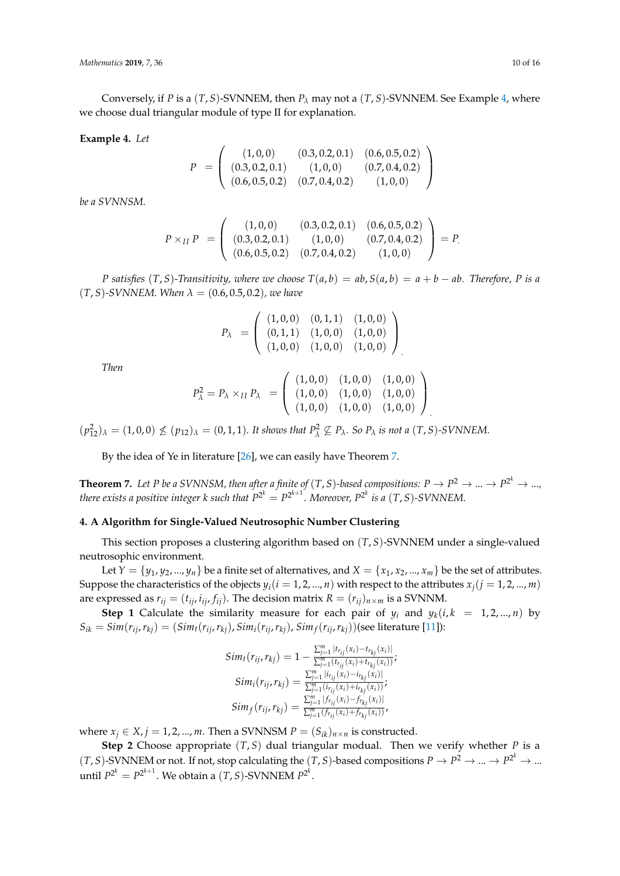Conversely, if *P* is a  $(T, S)$ -SVNNEM, then  $P_\lambda$  may not a  $(T, S)$ -SVNNEM. See Example [4,](#page-9-1) where we choose dual triangular module of type II for explanation.

#### <span id="page-9-1"></span>**Example 4.** *Let*

$$
P = \left( \begin{array}{ccc} (1,0,0) & (0.3,0.2,0.1) & (0.6,0.5,0.2) \\ (0.3,0.2,0.1) & (1,0,0) & (0.7,0.4,0.2) \\ (0.6,0.5,0.2) & (0.7,0.4,0.2) & (1,0,0) \end{array} \right)
$$

*be a SVNNSM.*

$$
P \times_{II} P = \left( \begin{array}{ccc} (1,0,0) & (0.3,0.2,0.1) & (0.6,0.5,0.2) \\ (0.3,0.2,0.1) & (1,0,0) & (0.7,0.4,0.2) \\ (0.6,0.5,0.2) & (0.7,0.4,0.2) & (1,0,0) \end{array} \right) = P.
$$

*P* satisfies  $(T, S)$ -Transitivity, where we choose  $T(a, b) = ab$ ,  $S(a, b) = a + b - ab$ . Therefore, *P* is a  $(T, S)$ -SVNNEM. When  $\lambda = (0.6, 0.5, 0.2)$ *, we have* 

$$
P_{\lambda} = \left( \begin{array}{ccc} (1,0,0) & (0,1,1) & (1,0,0) \\ (0,1,1) & (1,0,0) & (1,0,0) \\ (1,0,0) & (1,0,0) & (1,0,0) \end{array} \right)
$$

*Then*

$$
P_{\lambda}^{2} = P_{\lambda} \times_{II} P_{\lambda} = \left( \begin{array}{ccc} (1,0,0) & (1,0,0) & (1,0,0) \\ (1,0,0) & (1,0,0) & (1,0,0) \\ (1,0,0) & (1,0,0) & (1,0,0) \end{array} \right)
$$

.

 $(p_{12}^2)_{\lambda} = (1, 0, 0) \nleq (p_{12})_{\lambda} = (0, 1, 1)$ *. It shows that*  $P_{\lambda}^2 \nsubseteq P_{\lambda}$ *. So*  $P_{\lambda}$  *is not a*  $(T, S)$ *-SVNNEM.* 

By the idea of Ye in literature [\[26\]](#page-14-16), we can easily have Theorem [7.](#page-9-2)

<span id="page-9-2"></span>**Theorem 7.** Let P be a SVNNSM, then after a finite of  $(T, S)$ -based compositions:  $P \to P^2 \to ... \to P^{2^k} \to ...$ *there exists a positive integer k such that*  $P^{2^k} = P^{2^{k+1}}$ *. Moreover,*  $P^{2^k}$  *is a*  $(T,S)$ *-SVNNEM.* 

### <span id="page-9-0"></span>**4. A Algorithm for Single-Valued Neutrosophic Number Clustering**

This section proposes a clustering algorithm based on (*T*, *S*)-SVNNEM under a single-valued neutrosophic environment.

Let  $Y = \{y_1, y_2, ..., y_n\}$  be a finite set of alternatives, and  $X = \{x_1, x_2, ..., x_m\}$  be the set of attributes. Suppose the characteristics of the objects  $y_i$  ( $i = 1, 2, ..., n$ ) with respect to the attributes  $x_i$  ( $j = 1, 2, ..., m$ ) are expressed as  $r_{ij} = (t_{ij}, i_{ij}, f_{ij})$ . The decision matrix  $R = (r_{ij})_{n \times m}$  is a SVNNM.

**Step 1** Calculate the similarity measure for each pair of  $y_i$  and  $y_k(i, k = 1, 2, ..., n)$  by  $S_{ik} = Sim(r_{ij}, r_{kj}) = (Sim_t(r_{ij}, r_{kj}), Sim_i(r_{ij}, r_{kj}), Sim_f(r_{ij}, r_{kj}))$ (see literature [\[11\]](#page-14-19)):

$$
Sim_t(r_{ij}, r_{kj}) = 1 - \frac{\sum_{j=1}^{m} |r_{r_{ij}}(x_i) - t_{r_{kj}}(x_i)|}{\sum_{j=1}^{m} (r_{r_{ij}}(x_i) + t_{r_{kj}}(x_i))};
$$
  
\n
$$
Sim_i(r_{ij}, r_{kj}) = \frac{\sum_{j=1}^{m} |i_{r_{ij}}(x_i) - i_{r_{kj}}(x_i)|}{\sum_{j=1}^{m} (i_{r_{ij}}(x_i) + i_{r_{kj}}(x_i))};
$$
  
\n
$$
Sim_f(r_{ij}, r_{kj}) = \frac{\sum_{j=1}^{m} |f_{r_{ij}}(x_i) - f_{r_{kj}}(x_i)|}{\sum_{j=1}^{m} (f_{r_{ij}}(x_i) + f_{r_{kj}}(x_i))},
$$

where  $x_i \in X$ ,  $j = 1, 2, ..., m$ . Then a SVNNSM  $P = (S_{ik})_{n \times n}$  is constructed.

**Step 2** Choose appropriate (*T*, *S*) dual triangular modual. Then we verify whether *P* is a  $(T, S)$ -SVNNEM or not. If not, stop calculating the  $(T, S)$ -based compositions  $P \to P^2 \to ... \to P^{2^k} \to ...$ until  $P^{2^k} = P^{2^{k+1}}$ . We obtain a  $(T, S)$ -SVNNEM  $P^{2^k}$ .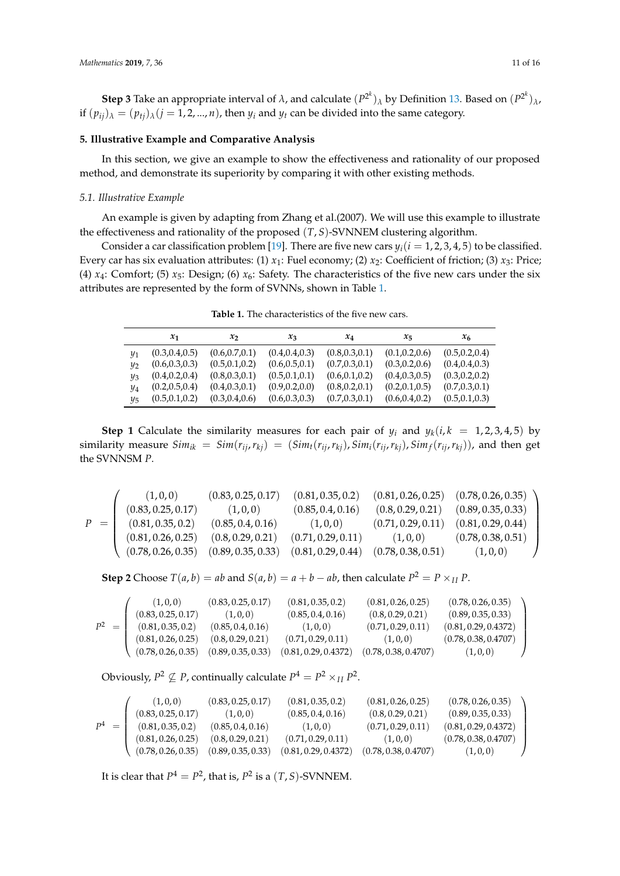**Step 3** Take an appropriate interval of  $\lambda$ , and calculate  $(P^{2^k})_\lambda$  by Definition [13.](#page-7-0) Based on  $(P^{2^k})_\lambda$ , if  $(p_{ij})_\lambda = (p_{ij})_\lambda (j = 1, 2, ..., n)$ , then  $y_i$  and  $y_t$  can be divided into the same category.

# <span id="page-10-0"></span>**5. Illustrative Example and Comparative Analysis**

In this section, we give an example to show the effectiveness and rationality of our proposed method, and demonstrate its superiority by comparing it with other existing methods.

# *5.1. Illustrative Example*

An example is given by adapting from Zhang et al.(2007). We will use this example to illustrate the effectiveness and rationality of the proposed (*T*, *S*)-SVNNEM clustering algorithm.

Consider a car classification problem [\[19\]](#page-14-9). There are five new cars  $y_i(i = 1, 2, 3, 4, 5)$  to be classified. Every car has six evaluation attributes: (1)  $x_1$ : Fuel economy; (2)  $x_2$ : Coefficient of friction; (3)  $x_3$ : Price; (4)  $x_4$ : Comfort; (5)  $x_5$ : Design; (6)  $x_6$ : Safety. The characteristics of the five new cars under the six attributes are represented by the form of SVNNs, shown in Table [1.](#page-10-1)

**Table 1.** The characteristics of the five new cars.

<span id="page-10-1"></span>

|                | $x_1$           | $x_2$           | $x_3$           | $x_4$           | $x_{5}$         | $x_{6}$         |
|----------------|-----------------|-----------------|-----------------|-----------------|-----------------|-----------------|
| Y1             | (0.3, 0.4, 0.5) | (0.6, 0.7, 0.1) | (0.4, 0.4, 0.3) | (0.8, 0.3, 0.1) | (0.1, 0.2, 0.6) | (0.5, 0.2, 0.4) |
| v <sub>2</sub> | (0.6, 0.3, 0.3) | (0.5, 0.1, 0.2) | (0.6, 0.5, 0.1) | (0.7, 0.3, 0.1) | (0.3, 0.2, 0.6) | (0.4, 0.4, 0.3) |
| Vз             | (0.4, 0.2, 0.4) | (0.8, 0.3, 0.1) | (0.5, 0.1, 0.1) | (0.6, 0.1, 0.2) | (0.4, 0.3, 0.5) | (0.3, 0.2, 0.2) |
| Y4             | (0.2, 0.5, 0.4) | (0.4, 0.3, 0.1) | (0.9, 0.2, 0.0) | (0.8, 0.2, 0.1) | (0.2, 0.1, 0.5) | (0.7, 0.3, 0.1) |
| IJҕ            | (0.5, 0.1, 0.2) | (0.3, 0.4, 0.6) | (0.6, 0.3, 0.3) | (0.7, 0.3, 0.1) | (0.6, 0.4, 0.2) | (0.5, 0.1, 0.3) |

**Step 1** Calculate the similarity measures for each pair of  $y_i$  and  $y_k(i, k = 1, 2, 3, 4, 5)$  by similarity measure  $Sim_{ik} = Sim(r_{ij}, r_{kj}) = (Sim_t(r_{ij}, r_{kj}), Sim_i(r_{ij}, r_{kj}), Sim_f(r_{ij}, r_{kj}))$ , and then get the SVNNSM *P*.

$$
P = \left(\begin{array}{cccccc} (1,0,0) & (0.83,0.25,0.17) & (0.81,0.35,0.2) & (0.81,0.26,0.25) & (0.78,0.26,0.35) \\ (0.83,0.25,0.17) & (1,0,0) & (0.85,0.4,0.16) & (0.8,0.29,0.21) & (0.89,0.35,0.33) \\ (0.81,0.35,0.2) & (0.85,0.4,0.16) & (1,0,0) & (0.71,0.29,0.11) & (0.81,0.29,0.44) \\ (0.81,0.26,0.25) & (0.8,0.29,0.21) & (0.71,0.29,0.11) & (1,0,0) & (0.78,0.38,0.51) \\ (0.78,0.26,0.35) & (0.89,0.35,0.33) & (0.81,0.29,0.44) & (0.78,0.38,0.51) & (1,0,0) \end{array}\right)
$$

**Step 2** Choose  $T(a, b) = ab$  and  $S(a, b) = a + b - ab$ , then calculate  $P^2 = P \times_{II} P$ .

|         | (1,0,0)            | (0.83, 0.25, 0.17) | (0.81, 0.35, 0.2)    | (0.81, 0.26, 0.25)   | (0.78, 0.26, 0.35)   |
|---------|--------------------|--------------------|----------------------|----------------------|----------------------|
|         | (0.83, 0.25, 0.17) | (1,0,0)            | (0.85, 0.4, 0.16)    | (0.8, 0.29, 0.21)    | (0.89, 0.35, 0.33)   |
| $P^2 =$ | (0.81, 0.35, 0.2)  | (0.85, 0.4, 0.16)  | (1,0,0)              | (0.71, 0.29, 0.11)   | (0.81, 0.29, 0.4372) |
|         | (0.81, 0.26, 0.25) | (0.8, 0.29, 0.21)  | (0.71, 0.29, 0.11)   | (1,0,0)              | (0.78, 0.38, 0.4707) |
|         | (0.78, 0.26, 0.35) | (0.89, 0.35, 0.33) | (0.81, 0.29, 0.4372) | (0.78, 0.38, 0.4707) | (1,0,0)              |

Obviously,  $P^2 \nsubseteq P$ , continually calculate  $P^4 = P^2 \times_{II} P^2$ .

|         | (1,0,0)            | (0.83, 0.25, 0.17) | (0.81, 0.35, 0.2)    | (0.81, 0.26, 0.25)   | (0.78, 0.26, 0.35)   |
|---------|--------------------|--------------------|----------------------|----------------------|----------------------|
|         | (0.83, 0.25, 0.17) | (1,0,0)            | (0.85, 0.4, 0.16)    | (0.8, 0.29, 0.21)    | (0.89, 0.35, 0.33)   |
| $P^4 =$ | (0.81, 0.35, 0.2)  | (0.85, 0.4, 0.16)  | (1,0,0)              | (0.71, 0.29, 0.11)   | (0.81, 0.29, 0.4372) |
|         | (0.81, 0.26, 0.25) | (0.8, 0.29, 0.21)  | (0.71, 0.29, 0.11)   | (1,0,0)              | (0.78, 0.38, 0.4707) |
|         | (0.78, 0.26, 0.35) | (0.89, 0.35, 0.33) | (0.81, 0.29, 0.4372) | (0.78, 0.38, 0.4707) | (1,0,0)              |

It is clear that  $P^4 = P^2$ , that is,  $P^2$  is a  $(T, S)$ -SVNNEM.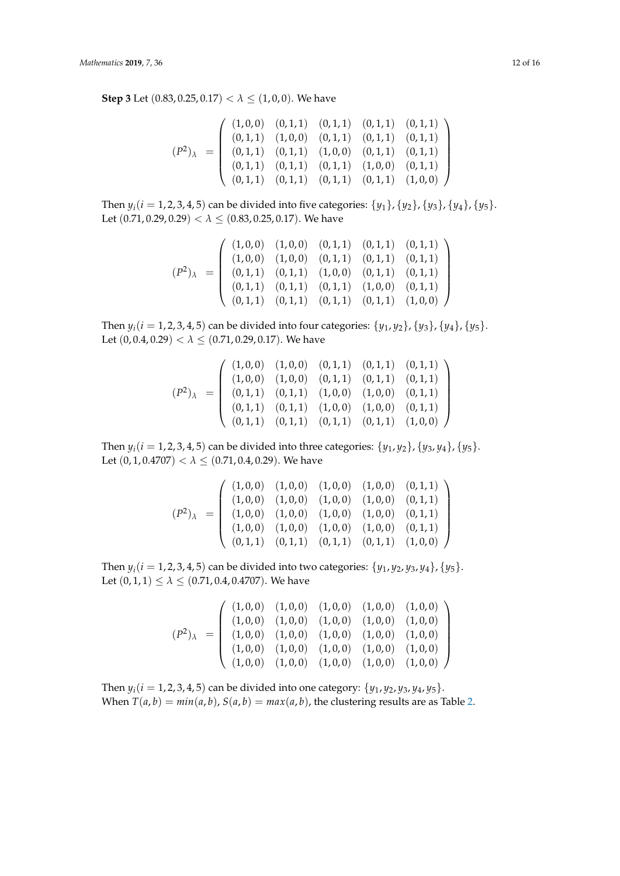**Step 3** Let  $(0.83, 0.25, 0.17) < \lambda \leq (1, 0, 0)$ . We have

$$
(P^2)_{\lambda} = \begin{pmatrix} (1,0,0) & (0,1,1) & (0,1,1) & (0,1,1) & (0,1,1) \\ (0,1,1) & (1,0,0) & (0,1,1) & (0,1,1) & (0,1,1) \\ (0,1,1) & (0,1,1) & (1,0,0) & (0,1,1) & (0,1,1) \\ (0,1,1) & (0,1,1) & (0,1,1) & (1,0,0) & (0,1,1) \\ (0,1,1) & (0,1,1) & (0,1,1) & (0,1,1) & (1,0,0) \end{pmatrix}
$$

Then  $y_i(i = 1, 2, 3, 4, 5)$  can be divided into five categories:  $\{y_1\}$ ,  $\{y_2\}$ ,  $\{y_3\}$ ,  $\{y_4\}$ ,  $\{y_5\}$ . Let (0.71, 0.29, 0.29) < *λ* ≤ (0.83, 0.25, 0.17). We have

$$
(P^2)_{\lambda} = \begin{pmatrix} (1,0,0) & (1,0,0) & (0,1,1) & (0,1,1) & (0,1,1) \\ (1,0,0) & (1,0,0) & (0,1,1) & (0,1,1) & (0,1,1) \\ (0,1,1) & (0,1,1) & (1,0,0) & (0,1,1) & (0,1,1) \\ (0,1,1) & (0,1,1) & (0,1,1) & (1,0,0) & (0,1,1) \\ (0,1,1) & (0,1,1) & (0,1,1) & (0,1,1) & (1,0,0) \end{pmatrix}
$$

Then  $y_i(i = 1, 2, 3, 4, 5)$  can be divided into four categories:  $\{y_1, y_2\}$ ,  $\{y_3\}$ ,  $\{y_4\}$ ,  $\{y_5\}$ . Let  $(0, 0.4, 0.29) < \lambda \leq (0.71, 0.29, 0.17)$ . We have

$$
(P^2)_{\lambda} = \begin{pmatrix} (1,0,0) & (1,0,0) & (0,1,1) & (0,1,1) & (0,1,1) \\ (1,0,0) & (1,0,0) & (0,1,1) & (0,1,1) & (0,1,1) \\ (0,1,1) & (0,1,1) & (1,0,0) & (1,0,0) & (0,1,1) \\ (0,1,1) & (0,1,1) & (1,0,0) & (1,0,0) & (0,1,1) \\ (0,1,1) & (0,1,1) & (0,1,1) & (0,1,1) & (1,0,0) \end{pmatrix}
$$

Then *y*<sub>*i*</sub>(*i* = 1, 2, 3, 4, 5) can be divided into three categories: {*y*<sub>1</sub>, *y*<sub>2</sub>}, {*y*<sub>3</sub>, *y*<sub>4</sub>}, {*y*<sub>5</sub>}. Let  $(0, 1, 0.4707) < \lambda \leq (0.71, 0.4, 0.29)$ . We have

$$
(P^2)_{\lambda} = \begin{pmatrix} (1,0,0) & (1,0,0) & (1,0,0) & (1,0,0) & (0,1,1) \\ (1,0,0) & (1,0,0) & (1,0,0) & (1,0,0) & (0,1,1) \\ (1,0,0) & (1,0,0) & (1,0,0) & (1,0,0) & (0,1,1) \\ (1,0,0) & (1,0,0) & (1,0,0) & (1,0,0) & (0,1,1) \\ (0,1,1) & (0,1,1) & (0,1,1) & (0,1,1) & (1,0,0) \end{pmatrix}
$$

Then  $y_i$  ( $i = 1, 2, 3, 4, 5$ ) can be divided into two categories: { $y_1, y_2, y_3, y_4$ }, { $y_5$ }. Let  $(0, 1, 1) \le \lambda \le (0.71, 0.4, 0.4707)$ . We have

$$
(P^2)_{\lambda} = \begin{pmatrix} (1,0,0) & (1,0,0) & (1,0,0) & (1,0,0) & (1,0,0) \\ (1,0,0) & (1,0,0) & (1,0,0) & (1,0,0) & (1,0,0) \\ (1,0,0) & (1,0,0) & (1,0,0) & (1,0,0) & (1,0,0) \\ (1,0,0) & (1,0,0) & (1,0,0) & (1,0,0) & (1,0,0) \\ (1,0,0) & (1,0,0) & (1,0,0) & (1,0,0) & (1,0,0) \end{pmatrix}
$$

Then  $y_i(i = 1, 2, 3, 4, 5)$  can be divided into one category:  $\{y_1, y_2, y_3, y_4, y_5\}$ . When  $T(a, b) = min(a, b)$ ,  $S(a, b) = max(a, b)$ , the clustering results are as Table [2.](#page-12-0)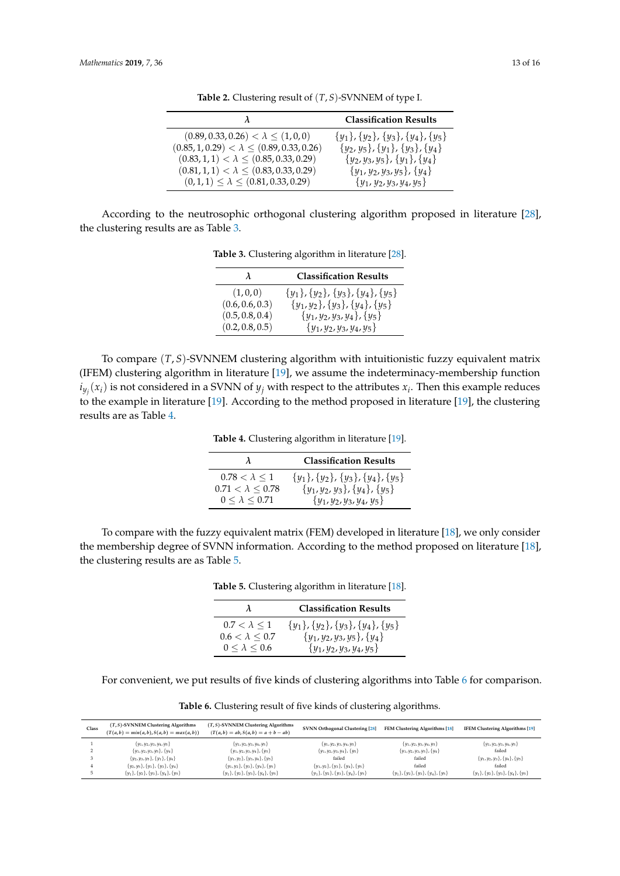<span id="page-12-0"></span>

|                                                     | <b>Classification Results</b>                 |
|-----------------------------------------------------|-----------------------------------------------|
| $(0.89, 0.33, 0.26) < \lambda \leq (1, 0, 0)$       | $\{y_1\}, \{y_2\}, \{y_3\}, \{y_4\}, \{y_5\}$ |
| $(0.85, 1, 0.29) < \lambda \leq (0.89, 0.33, 0.26)$ | $\{y_2, y_5\}, \{y_1\}, \{y_3\}, \{y_4\}$     |
| $(0.83, 1, 1) < \lambda \leq (0.85, 0.33, 0.29)$    | $\{y_2, y_3, y_5\}, \{y_1\}, \{y_4\}$         |
| $(0.81, 1, 1) < \lambda \leq (0.83, 0.33, 0.29)$    | $\{y_1, y_2, y_3, y_5\}, \{y_4\}$             |
| $(0,1,1) \leq \lambda \leq (0.81, 0.33, 0.29)$      | $\{y_1, y_2, y_3, y_4, y_5\}$                 |

**Table 2.** Clustering result of (*T*, *S*)-SVNNEM of type I.

<span id="page-12-1"></span>According to the neutrosophic orthogonal clustering algorithm proposed in literature [\[28\]](#page-14-18), the clustering results are as Table [3.](#page-12-1)

**Table 3.** Clustering algorithm in literature [\[28\]](#page-14-18).

| λ               | <b>Classification Results</b>       |
|-----------------|-------------------------------------|
| (1,0,0)         | ${y_1}, {y_2}, {y_3}, {y_4}, {y_5}$ |
| (0.6, 0.6, 0.3) | ${y_1, y_2}, {y_3}, {y_4}, {y_5}$   |
| (0.5, 0.8, 0.4) | $\{y_1, y_2, y_3, y_4\}, \{y_5\}$   |
| (0.2, 0.8, 0.5) | $\{y_1, y_2, y_3, y_4, y_5\}$       |

<span id="page-12-2"></span>To compare (*T*, *S*)-SVNNEM clustering algorithm with intuitionistic fuzzy equivalent matrix (IFEM) clustering algorithm in literature [\[19\]](#page-14-9), we assume the indeterminacy-membership function  $i_{y_j}(x_i)$  is not considered in a SVNN of  $y_j$  with respect to the attributes  $x_i$ . Then this example reduces to the example in literature [\[19\]](#page-14-9). According to the method proposed in literature [\[19\]](#page-14-9), the clustering results are as Table [4.](#page-12-2)

**Table 4.** Clustering algorithm in literature [\[19\]](#page-14-9).

|                         | <b>Classification Results</b>                 |
|-------------------------|-----------------------------------------------|
| $0.78 < \lambda \leq 1$ | $\{y_1\}, \{y_2\}, \{y_3\}, \{y_4\}, \{y_5\}$ |
| $0.71<\lambda\leq0.78$  | ${y_1, y_2, y_3}, {y_4}, {y_5}$               |
| $0 < \lambda < 0.71$    | $\{y_1, y_2, y_3, y_4, y_5\}$                 |

<span id="page-12-3"></span>To compare with the fuzzy equivalent matrix (FEM) developed in literature [\[18\]](#page-14-8), we only consider the membership degree of SVNN information. According to the method proposed on literature [\[18\]](#page-14-8), the clustering results are as Table [5.](#page-12-3)

**Table 5.** Clustering algorithm in literature [\[18\]](#page-14-8).

| λ                                               | <b>Classification Results</b>                                            |
|-------------------------------------------------|--------------------------------------------------------------------------|
| $0.7 < \lambda < 1$<br>$0.6 < \lambda \leq 0.7$ | ${y_1}, {y_2}, {y_3}, {y_4}, {y_5}$<br>$\{y_1, y_2, y_3, y_5\}, \{y_4\}$ |
| $0 \leq \lambda \leq 0.6$                       | $\{y_1, y_2, y_3, y_4, y_5\}$                                            |

For convenient, we put results of five kinds of clustering algorithms into Table [6](#page-12-4) for comparison.

**Table 6.** Clustering result of five kinds of clustering algorithms.

<span id="page-12-4"></span>

| Class | $(T, S)$ -SVNNEM Clustering Algorithms<br>$(T(a, b) = min(a, b), S(a, b) = max(a, b))$ | $(T, S)$ -SVNNEM Clustering Algorithms<br>$(T(a, b) = ab, S(a, b) = a + b - ab)$ | <b>SVNN Orthogonal Clustering [28]</b>        | FEM Clustering Algorithms [18]                | <b>IFEM Clustering Algorithms [19]</b>        |
|-------|----------------------------------------------------------------------------------------|----------------------------------------------------------------------------------|-----------------------------------------------|-----------------------------------------------|-----------------------------------------------|
|       | $\{y_1, y_2, y_3, y_4, y_5\}$                                                          | $\{y_1, y_2, y_3, y_4, y_5\}$                                                    | $\{y_1, y_2, y_3, y_4, y_5\}$                 | $\{y_1, y_2, y_3, y_4, y_5\}$                 | $\{y_1, y_2, y_3, y_4, y_5\}$                 |
|       | $\{y_1, y_2, y_3, y_5\}, \{y_4\}$                                                      | $\{y_1, y_2, y_3, y_4\}, \{y_5\}$                                                | $\{y_1, y_2, y_3, y_4\}, \{y_5\}$             | $\{y_1, y_2, y_3, y_5\}, \{y_4\}$             | failed                                        |
|       | $\{y_2, y_3, y_5\}, \{y_1\}, \{y_4\}$                                                  | $\{y_1, y_2\}, \{y_3, y_4\}, \{y_5\}$                                            | failed                                        | failed                                        | $\{y_1, y_2, y_3\}, \{y_4\}, \{y_5\}$         |
|       | $\{y_2, y_5\}, \{y_1\}, \{y_3\}, \{y_4\}$                                              | $\{y_1, y_2\}, \{y_3\}, \{y_4\}, \{y_5\}$                                        | $\{y_1, y_2\}, \{y_3\}, \{y_4\}, \{y_5\}$     | failed                                        | failed                                        |
|       | ${y_1}, {y_2}, {y_3}, {y_4}, {y_5}$                                                    | ${y_1}, {y_2}, {y_3}, {y_4}, {y_5}$                                              | $\{y_1\}, \{y_2\}, \{y_3\}, \{y_4\}, \{y_5\}$ | $\{y_1\}, \{y_2\}, \{y_3\}, \{y_4\}, \{y_5\}$ | $\{y_1\}, \{y_2\}, \{y_3\}, \{y_4\}, \{y_5\}$ |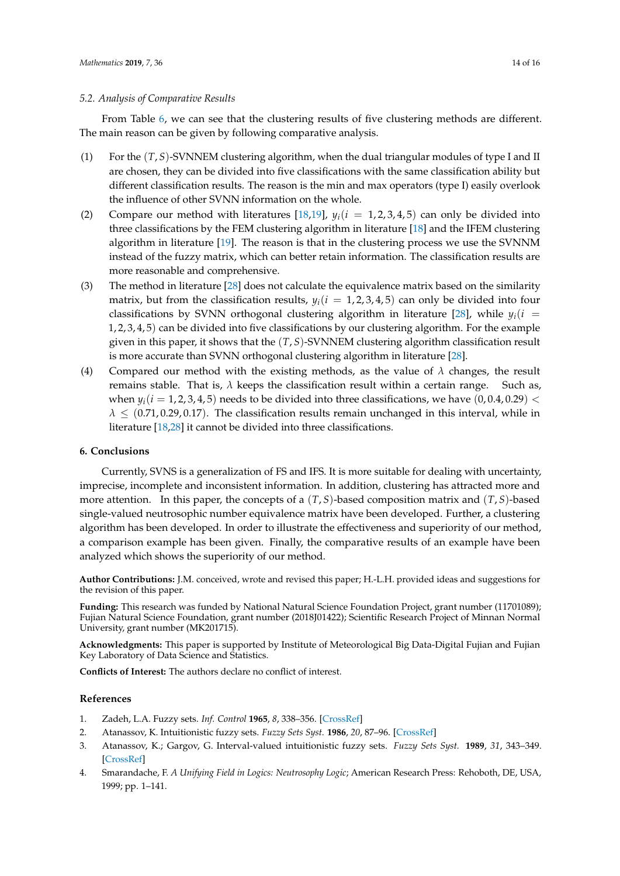## *5.2. Analysis of Comparative Results*

From Table [6,](#page-12-4) we can see that the clustering results of five clustering methods are different. The main reason can be given by following comparative analysis.

- (1) For the (*T*, *S*)-SVNNEM clustering algorithm, when the dual triangular modules of type I and II are chosen, they can be divided into five classifications with the same classification ability but different classification results. The reason is the min and max operators (type I) easily overlook the influence of other SVNN information on the whole.
- (2) Compare our method with literatures [\[18](#page-14-8)[,19\]](#page-14-9),  $y_i(i = 1, 2, 3, 4, 5)$  can only be divided into three classifications by the FEM clustering algorithm in literature [\[18\]](#page-14-8) and the IFEM clustering algorithm in literature [\[19\]](#page-14-9). The reason is that in the clustering process we use the SVNNM instead of the fuzzy matrix, which can better retain information. The classification results are more reasonable and comprehensive.
- (3) The method in literature [\[28\]](#page-14-18) does not calculate the equivalence matrix based on the similarity matrix, but from the classification results,  $y_i(i = 1, 2, 3, 4, 5)$  can only be divided into four classifications by SVNN orthogonal clustering algorithm in literature [\[28\]](#page-14-18), while  $y_i(i =$ 1, 2, 3, 4, 5) can be divided into five classifications by our clustering algorithm. For the example given in this paper, it shows that the (*T*, *S*)-SVNNEM clustering algorithm classification result is more accurate than SVNN orthogonal clustering algorithm in literature [\[28\]](#page-14-18).
- (4) Compared our method with the existing methods, as the value of  $\lambda$  changes, the result remains stable. That is, *λ* keeps the classification result within a certain range. Such as, when  $y_i(i = 1, 2, 3, 4, 5)$  needs to be divided into three classifications, we have  $(0, 0.4, 0.29)$  <  $\lambda \leq (0.71, 0.29, 0.17)$ . The classification results remain unchanged in this interval, while in literature [\[18,](#page-14-8)[28\]](#page-14-18) it cannot be divided into three classifications.

# <span id="page-13-4"></span>**6. Conclusions**

Currently, SVNS is a generalization of FS and IFS. It is more suitable for dealing with uncertainty, imprecise, incomplete and inconsistent information. In addition, clustering has attracted more and more attention. In this paper, the concepts of a (*T*, *S*)-based composition matrix and (*T*, *S*)-based single-valued neutrosophic number equivalence matrix have been developed. Further, a clustering algorithm has been developed. In order to illustrate the effectiveness and superiority of our method, a comparison example has been given. Finally, the comparative results of an example have been analyzed which shows the superiority of our method.

**Author Contributions:** J.M. conceived, wrote and revised this paper; H.-L.H. provided ideas and suggestions for the revision of this paper.

**Funding:** This research was funded by National Natural Science Foundation Project, grant number (11701089); Fujian Natural Science Foundation, grant number (2018J01422); Scientific Research Project of Minnan Normal University, grant number (MK201715).

**Acknowledgments:** This paper is supported by Institute of Meteorological Big Data-Digital Fujian and Fujian Key Laboratory of Data Science and Statistics.

**Conflicts of Interest:** The authors declare no conflict of interest.

# **References**

- <span id="page-13-0"></span>1. Zadeh, L.A. Fuzzy sets. *Inf. Control* **1965**, *8*, 338–356. [\[CrossRef\]](http://dx.doi.org/10.1016/S0019-9958(65)90241-X)
- <span id="page-13-1"></span>2. Atanassov, K. Intuitionistic fuzzy sets. *Fuzzy Sets Syst.* **1986**, *20*, 87–96. [\[CrossRef\]](http://dx.doi.org/10.1016/S0165-0114(86)80034-3)
- <span id="page-13-2"></span>3. Atanassov, K.; Gargov, G. Interval-valued intuitionistic fuzzy sets. *Fuzzy Sets Syst.* **1989**, *31*, 343–349. [\[CrossRef\]](http://dx.doi.org/10.1016/0165-0114(89)90205-4)
- <span id="page-13-3"></span>4. Smarandache, F. *A Unifying Field in Logics: Neutrosophy Logic*; American Research Press: Rehoboth, DE, USA, 1999; pp. 1–141.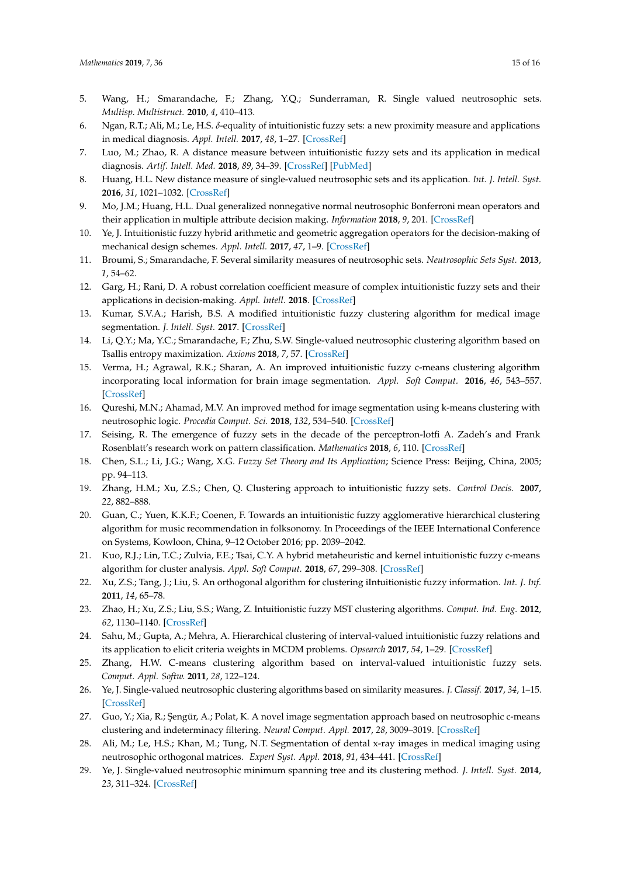- <span id="page-14-0"></span>5. Wang, H.; Smarandache, F.; Zhang, Y.Q.; Sunderraman, R. Single valued neutrosophic sets. *Multisp. Multistruct.* **2010**, *4*, 410–413.
- <span id="page-14-1"></span>6. Ngan, R.T.; Ali, M.; Le, H.S. *δ*-equality of intuitionistic fuzzy sets: a new proximity measure and applications in medical diagnosis. *Appl. Intell.* **2017**, *48*, 1–27. [\[CrossRef\]](http://dx.doi.org/10.1007/s10489-017-0986-0)
- <span id="page-14-2"></span>7. Luo, M.; Zhao, R. A distance measure between intuitionistic fuzzy sets and its application in medical diagnosis. *Artif. Intell. Med.* **2018**, *89*, 34–39. [\[CrossRef\]](http://dx.doi.org/10.1016/j.artmed.2018.05.002) [\[PubMed\]](http://www.ncbi.nlm.nih.gov/pubmed/29891424)
- <span id="page-14-3"></span>8. Huang, H.L. New distance measure of single-valued neutrosophic sets and its application. *Int. J. Intell. Syst.* **2016**, *31*, 1021–1032. [\[CrossRef\]](http://dx.doi.org/10.1002/int.21815)
- 9. Mo, J.M.; Huang, H.L. Dual generalized nonnegative normal neutrosophic Bonferroni mean operators and their application in multiple attribute decision making. *Information* **2018**, *9*, 201. [\[CrossRef\]](http://dx.doi.org/10.3390/info9080201)
- 10. Ye, J. Intuitionistic fuzzy hybrid arithmetic and geometric aggregation operators for the decision-making of mechanical design schemes. *Appl. Intell.* **2017**, *47*, 1–9. [\[CrossRef\]](http://dx.doi.org/10.1007/s10489-017-0930-3)
- <span id="page-14-19"></span>11. Broumi, S.; Smarandache, F. Several similarity measures of neutrosophic sets. *Neutrosophic Sets Syst.* **2013**, *1*, 54–62.
- <span id="page-14-4"></span>12. Garg, H.; Rani, D. A robust correlation coefficient measure of complex intuitionistic fuzzy sets and their applications in decision-making. *Appl. Intell.* **2018**. [\[CrossRef\]](http://dx.doi.org/10.1007/s10489-018-1290-3)
- <span id="page-14-5"></span>13. Kumar, S.V.A.; Harish, B.S. A modified intuitionistic fuzzy clustering algorithm for medical image segmentation. *J. Intell. Syst.* **2017**. [\[CrossRef\]](http://dx.doi.org/10.1515/jisys-2016-0241)
- 14. Li, Q.Y.; Ma, Y.C.; Smarandache, F.; Zhu, S.W. Single-valued neutrosophic clustering algorithm based on Tsallis entropy maximization. *Axioms* **2018**, *7*, 57. [\[CrossRef\]](http://dx.doi.org/10.3390/axioms7030057)
- 15. Verma, H.; Agrawal, R.K.; Sharan, A. An improved intuitionistic fuzzy c-means clustering algorithm incorporating local information for brain image segmentation. *Appl. Soft Comput.* **2016**, *46*, 543–557. [\[CrossRef\]](http://dx.doi.org/10.1016/j.asoc.2015.12.022)
- 16. Qureshi, M.N.; Ahamad, M.V. An improved method for image segmentation using k-means clustering with neutrosophic logic. *Procedia Comput. Sci.* **2018**, *132*, 534–540. [\[CrossRef\]](http://dx.doi.org/10.1016/j.procs.2018.05.006)
- <span id="page-14-7"></span>17. Seising, R. The emergence of fuzzy sets in the decade of the perceptron-lotfi A. Zadeh's and Frank Rosenblatt's research work on pattern classification. *Mathematics* **2018**, *6*, 110. [\[CrossRef\]](http://dx.doi.org/10.3390/math6070110)
- <span id="page-14-8"></span>18. Chen, S.L.; Li, J.G.; Wang, X.G. *Fuzzy Set Theory and Its Application*; Science Press: Beijing, China, 2005; pp. 94–113.
- <span id="page-14-9"></span>19. Zhang, H.M.; Xu, Z.S.; Chen, Q. Clustering approach to intuitionistic fuzzy sets. *Control Decis.* **2007**, *22*, 882–888.
- <span id="page-14-10"></span>20. Guan, C.; Yuen, K.K.F.; Coenen, F. Towards an intuitionistic fuzzy agglomerative hierarchical clustering algorithm for music recommendation in folksonomy. In Proceedings of the IEEE International Conference on Systems, Kowloon, China, 9–12 October 2016; pp. 2039–2042.
- <span id="page-14-11"></span>21. Kuo, R.J.; Lin, T.C.; Zulvia, F.E.; Tsai, C.Y. A hybrid metaheuristic and kernel intuitionistic fuzzy c-means algorithm for cluster analysis. *Appl. Soft Comput.* **2018**, *67*, 299–308. [\[CrossRef\]](http://dx.doi.org/10.1016/j.asoc.2018.02.039)
- <span id="page-14-12"></span>22. Xu, Z.S.; Tang, J.; Liu, S. An orthogonal algorithm for clustering iIntuitionistic fuzzy information. *Int. J. Inf.* **2011**, *14*, 65–78.
- <span id="page-14-13"></span>23. Zhao, H.; Xu, Z.S.; Liu, S.S.; Wang, Z. Intuitionistic fuzzy MST clustering algorithms. *Comput. Ind. Eng.* **2012**, *62*, 1130–1140. [\[CrossRef\]](http://dx.doi.org/10.1016/j.cie.2012.01.007)
- <span id="page-14-14"></span>24. Sahu, M.; Gupta, A.; Mehra, A. Hierarchical clustering of interval-valued intuitionistic fuzzy relations and its application to elicit criteria weights in MCDM problems. *Opsearch* **2017**, *54*, 1–29. [\[CrossRef\]](http://dx.doi.org/10.1007/s12597-016-0282-5)
- <span id="page-14-15"></span>25. Zhang, H.W. C-means clustering algorithm based on interval-valued intuitionistic fuzzy sets. *Comput. Appl. Softw.* **2011**, *28*, 122–124.
- <span id="page-14-16"></span>26. Ye, J. Single-valued neutrosophic clustering algorithms based on similarity measures. *J. Classif.* **2017**, *34*, 1–15. [\[CrossRef\]](http://dx.doi.org/10.1007/s00357-017-9225-y)
- <span id="page-14-17"></span>27. Guo, Y.; Xia, R.; Şengür, A.; Polat, K. A novel image segmentation approach based on neutrosophic c-means clustering and indeterminacy filtering. *Neural Comput. Appl.* **2017**, *28*, 3009–3019. [\[CrossRef\]](http://dx.doi.org/10.1007/s00521-016-2441-2)
- <span id="page-14-18"></span>28. Ali, M.; Le, H.S.; Khan, M.; Tung, N.T. Segmentation of dental x-ray images in medical imaging using neutrosophic orthogonal matrices. *Expert Syst. Appl.* **2018**, *91*, 434–441. [\[CrossRef\]](http://dx.doi.org/10.1016/j.eswa.2017.09.027)
- <span id="page-14-6"></span>29. Ye, J. Single-valued neutrosophic minimum spanning tree and its clustering method. *J. Intell. Syst.* **2014**, *23*, 311–324. [\[CrossRef\]](http://dx.doi.org/10.1515/jisys-2013-0075)